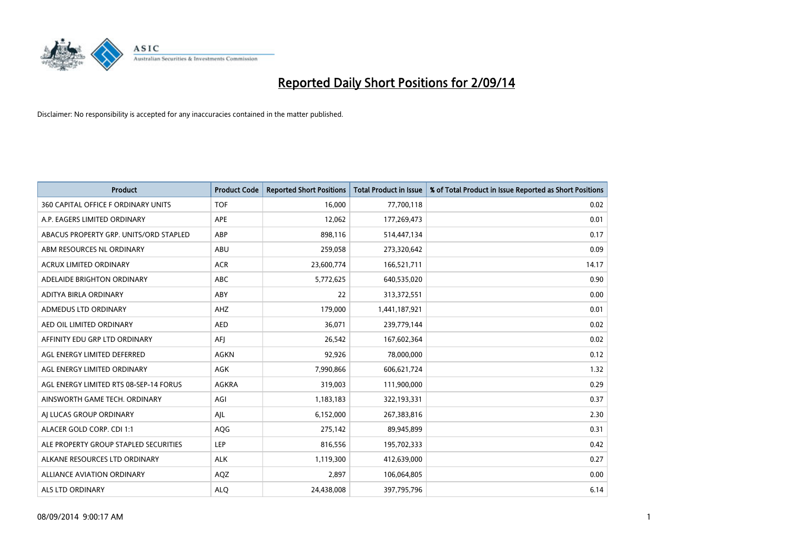

| <b>Product</b>                         | <b>Product Code</b> | <b>Reported Short Positions</b> | <b>Total Product in Issue</b> | % of Total Product in Issue Reported as Short Positions |
|----------------------------------------|---------------------|---------------------------------|-------------------------------|---------------------------------------------------------|
| 360 CAPITAL OFFICE F ORDINARY UNITS    | <b>TOF</b>          | 16,000                          | 77,700,118                    | 0.02                                                    |
| A.P. EAGERS LIMITED ORDINARY           | APE                 | 12,062                          | 177,269,473                   | 0.01                                                    |
| ABACUS PROPERTY GRP. UNITS/ORD STAPLED | ABP                 | 898,116                         | 514,447,134                   | 0.17                                                    |
| ABM RESOURCES NL ORDINARY              | ABU                 | 259,058                         | 273,320,642                   | 0.09                                                    |
| <b>ACRUX LIMITED ORDINARY</b>          | <b>ACR</b>          | 23,600,774                      | 166,521,711                   | 14.17                                                   |
| ADELAIDE BRIGHTON ORDINARY             | <b>ABC</b>          | 5,772,625                       | 640,535,020                   | 0.90                                                    |
| ADITYA BIRLA ORDINARY                  | ABY                 | 22                              | 313,372,551                   | 0.00                                                    |
| ADMEDUS LTD ORDINARY                   | AHZ                 | 179,000                         | 1,441,187,921                 | 0.01                                                    |
| AED OIL LIMITED ORDINARY               | <b>AED</b>          | 36,071                          | 239,779,144                   | 0.02                                                    |
| AFFINITY EDU GRP LTD ORDINARY          | AFI                 | 26,542                          | 167,602,364                   | 0.02                                                    |
| AGL ENERGY LIMITED DEFERRED            | AGKN                | 92,926                          | 78,000,000                    | 0.12                                                    |
| AGL ENERGY LIMITED ORDINARY            | AGK                 | 7,990,866                       | 606,621,724                   | 1.32                                                    |
| AGL ENERGY LIMITED RTS 08-SEP-14 FORUS | AGKRA               | 319,003                         | 111,900,000                   | 0.29                                                    |
| AINSWORTH GAME TECH. ORDINARY          | AGI                 | 1,183,183                       | 322,193,331                   | 0.37                                                    |
| AI LUCAS GROUP ORDINARY                | AJL                 | 6,152,000                       | 267,383,816                   | 2.30                                                    |
| ALACER GOLD CORP. CDI 1:1              | AQG                 | 275,142                         | 89,945,899                    | 0.31                                                    |
| ALE PROPERTY GROUP STAPLED SECURITIES  | LEP                 | 816,556                         | 195,702,333                   | 0.42                                                    |
| ALKANE RESOURCES LTD ORDINARY          | <b>ALK</b>          | 1,119,300                       | 412,639,000                   | 0.27                                                    |
| <b>ALLIANCE AVIATION ORDINARY</b>      | AQZ                 | 2,897                           | 106,064,805                   | 0.00                                                    |
| ALS LTD ORDINARY                       | <b>ALO</b>          | 24,438,008                      | 397,795,796                   | 6.14                                                    |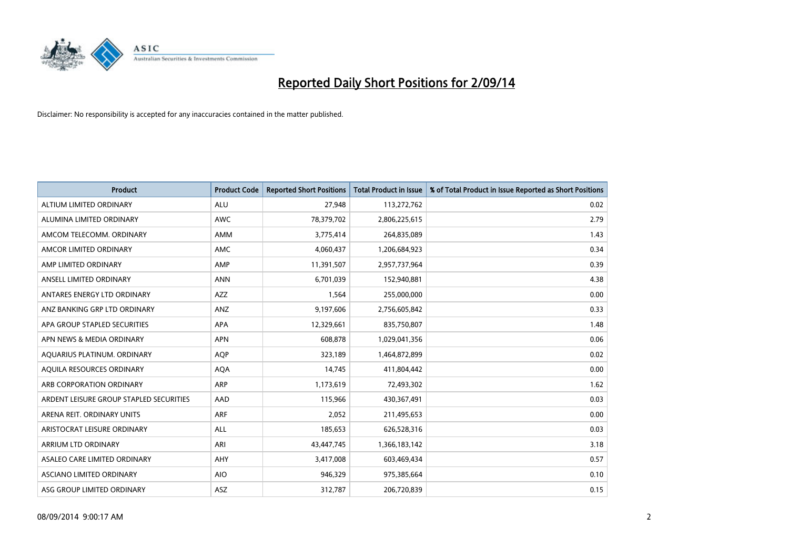

| <b>Product</b>                          | <b>Product Code</b> | <b>Reported Short Positions</b> | <b>Total Product in Issue</b> | % of Total Product in Issue Reported as Short Positions |
|-----------------------------------------|---------------------|---------------------------------|-------------------------------|---------------------------------------------------------|
| ALTIUM LIMITED ORDINARY                 | <b>ALU</b>          | 27,948                          | 113,272,762                   | 0.02                                                    |
| ALUMINA LIMITED ORDINARY                | AWC                 | 78,379,702                      | 2,806,225,615                 | 2.79                                                    |
| AMCOM TELECOMM, ORDINARY                | AMM                 | 3,775,414                       | 264,835,089                   | 1.43                                                    |
| AMCOR LIMITED ORDINARY                  | AMC                 | 4,060,437                       | 1,206,684,923                 | 0.34                                                    |
| AMP LIMITED ORDINARY                    | AMP                 | 11,391,507                      | 2,957,737,964                 | 0.39                                                    |
| ANSELL LIMITED ORDINARY                 | <b>ANN</b>          | 6,701,039                       | 152,940,881                   | 4.38                                                    |
| ANTARES ENERGY LTD ORDINARY             | AZZ                 | 1,564                           | 255,000,000                   | 0.00                                                    |
| ANZ BANKING GRP LTD ORDINARY            | ANZ                 | 9,197,606                       | 2,756,605,842                 | 0.33                                                    |
| APA GROUP STAPLED SECURITIES            | <b>APA</b>          | 12,329,661                      | 835,750,807                   | 1.48                                                    |
| APN NEWS & MEDIA ORDINARY               | <b>APN</b>          | 608,878                         | 1,029,041,356                 | 0.06                                                    |
| AQUARIUS PLATINUM. ORDINARY             | <b>AOP</b>          | 323,189                         | 1,464,872,899                 | 0.02                                                    |
| AQUILA RESOURCES ORDINARY               | <b>AQA</b>          | 14,745                          | 411,804,442                   | 0.00                                                    |
| ARB CORPORATION ORDINARY                | ARP                 | 1,173,619                       | 72,493,302                    | 1.62                                                    |
| ARDENT LEISURE GROUP STAPLED SECURITIES | AAD                 | 115,966                         | 430,367,491                   | 0.03                                                    |
| ARENA REIT. ORDINARY UNITS              | <b>ARF</b>          | 2,052                           | 211,495,653                   | 0.00                                                    |
| ARISTOCRAT LEISURE ORDINARY             | ALL                 | 185,653                         | 626,528,316                   | 0.03                                                    |
| ARRIUM LTD ORDINARY                     | ARI                 | 43,447,745                      | 1,366,183,142                 | 3.18                                                    |
| ASALEO CARE LIMITED ORDINARY            | AHY                 | 3,417,008                       | 603,469,434                   | 0.57                                                    |
| ASCIANO LIMITED ORDINARY                | <b>AIO</b>          | 946,329                         | 975,385,664                   | 0.10                                                    |
| ASG GROUP LIMITED ORDINARY              | ASZ                 | 312,787                         | 206,720,839                   | 0.15                                                    |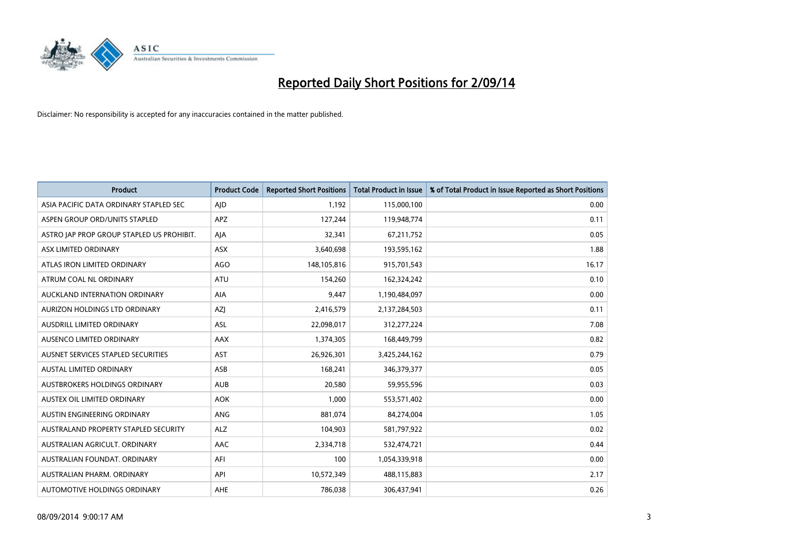

| <b>Product</b>                            | <b>Product Code</b> | <b>Reported Short Positions</b> | <b>Total Product in Issue</b> | % of Total Product in Issue Reported as Short Positions |
|-------------------------------------------|---------------------|---------------------------------|-------------------------------|---------------------------------------------------------|
| ASIA PACIFIC DATA ORDINARY STAPLED SEC    | AJD                 | 1,192                           | 115,000,100                   | 0.00                                                    |
| ASPEN GROUP ORD/UNITS STAPLED             | APZ                 | 127,244                         | 119,948,774                   | 0.11                                                    |
| ASTRO JAP PROP GROUP STAPLED US PROHIBIT. | AJA                 | 32,341                          | 67,211,752                    | 0.05                                                    |
| ASX LIMITED ORDINARY                      | ASX                 | 3,640,698                       | 193,595,162                   | 1.88                                                    |
| ATLAS IRON LIMITED ORDINARY               | <b>AGO</b>          | 148,105,816                     | 915,701,543                   | 16.17                                                   |
| ATRUM COAL NL ORDINARY                    | <b>ATU</b>          | 154,260                         | 162,324,242                   | 0.10                                                    |
| AUCKLAND INTERNATION ORDINARY             | AIA                 | 9,447                           | 1,190,484,097                 | 0.00                                                    |
| AURIZON HOLDINGS LTD ORDINARY             | AZJ                 | 2,416,579                       | 2,137,284,503                 | 0.11                                                    |
| AUSDRILL LIMITED ORDINARY                 | <b>ASL</b>          | 22,098,017                      | 312,277,224                   | 7.08                                                    |
| AUSENCO LIMITED ORDINARY                  | AAX                 | 1,374,305                       | 168,449,799                   | 0.82                                                    |
| AUSNET SERVICES STAPLED SECURITIES        | <b>AST</b>          | 26,926,301                      | 3,425,244,162                 | 0.79                                                    |
| <b>AUSTAL LIMITED ORDINARY</b>            | ASB                 | 168,241                         | 346,379,377                   | 0.05                                                    |
| AUSTBROKERS HOLDINGS ORDINARY             | <b>AUB</b>          | 20,580                          | 59,955,596                    | 0.03                                                    |
| AUSTEX OIL LIMITED ORDINARY               | <b>AOK</b>          | 1,000                           | 553,571,402                   | 0.00                                                    |
| AUSTIN ENGINEERING ORDINARY               | ANG                 | 881,074                         | 84,274,004                    | 1.05                                                    |
| AUSTRALAND PROPERTY STAPLED SECURITY      | <b>ALZ</b>          | 104,903                         | 581,797,922                   | 0.02                                                    |
| AUSTRALIAN AGRICULT. ORDINARY             | AAC                 | 2,334,718                       | 532,474,721                   | 0.44                                                    |
| AUSTRALIAN FOUNDAT, ORDINARY              | AFI                 | 100                             | 1,054,339,918                 | 0.00                                                    |
| AUSTRALIAN PHARM, ORDINARY                | API                 | 10,572,349                      | 488,115,883                   | 2.17                                                    |
| AUTOMOTIVE HOLDINGS ORDINARY              | <b>AHE</b>          | 786,038                         | 306,437,941                   | 0.26                                                    |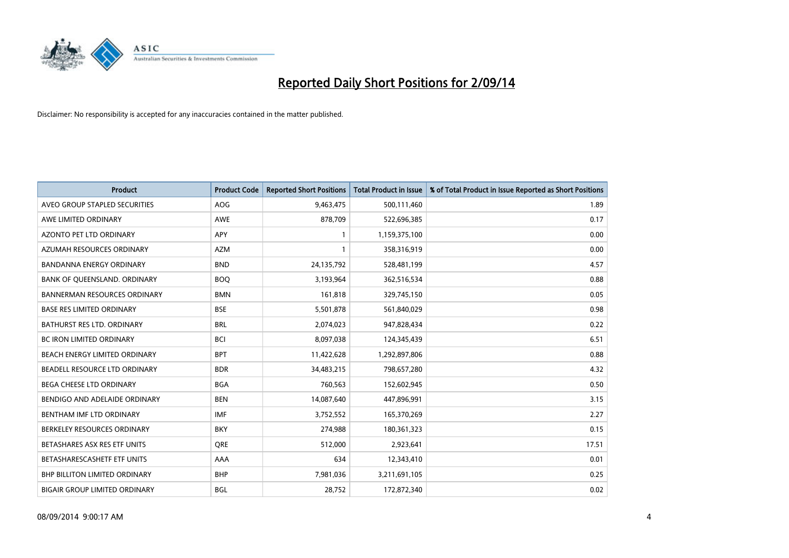

| <b>Product</b>                       | <b>Product Code</b> | <b>Reported Short Positions</b> | <b>Total Product in Issue</b> | % of Total Product in Issue Reported as Short Positions |
|--------------------------------------|---------------------|---------------------------------|-------------------------------|---------------------------------------------------------|
| AVEO GROUP STAPLED SECURITIES        | AOG                 | 9,463,475                       | 500,111,460                   | 1.89                                                    |
| AWE LIMITED ORDINARY                 | AWE                 | 878,709                         | 522,696,385                   | 0.17                                                    |
| <b>AZONTO PET LTD ORDINARY</b>       | <b>APY</b>          | 1                               | 1,159,375,100                 | 0.00                                                    |
| AZUMAH RESOURCES ORDINARY            | <b>AZM</b>          | $\mathbf{1}$                    | 358,316,919                   | 0.00                                                    |
| <b>BANDANNA ENERGY ORDINARY</b>      | <b>BND</b>          | 24,135,792                      | 528,481,199                   | 4.57                                                    |
| BANK OF QUEENSLAND. ORDINARY         | <b>BOQ</b>          | 3,193,964                       | 362,516,534                   | 0.88                                                    |
| <b>BANNERMAN RESOURCES ORDINARY</b>  | <b>BMN</b>          | 161,818                         | 329,745,150                   | 0.05                                                    |
| <b>BASE RES LIMITED ORDINARY</b>     | <b>BSE</b>          | 5,501,878                       | 561,840,029                   | 0.98                                                    |
| <b>BATHURST RES LTD. ORDINARY</b>    | <b>BRL</b>          | 2,074,023                       | 947,828,434                   | 0.22                                                    |
| <b>BC IRON LIMITED ORDINARY</b>      | <b>BCI</b>          | 8,097,038                       | 124,345,439                   | 6.51                                                    |
| BEACH ENERGY LIMITED ORDINARY        | <b>BPT</b>          | 11,422,628                      | 1,292,897,806                 | 0.88                                                    |
| BEADELL RESOURCE LTD ORDINARY        | <b>BDR</b>          | 34,483,215                      | 798,657,280                   | 4.32                                                    |
| <b>BEGA CHEESE LTD ORDINARY</b>      | <b>BGA</b>          | 760,563                         | 152,602,945                   | 0.50                                                    |
| BENDIGO AND ADELAIDE ORDINARY        | <b>BEN</b>          | 14,087,640                      | 447,896,991                   | 3.15                                                    |
| BENTHAM IMF LTD ORDINARY             | <b>IMF</b>          | 3,752,552                       | 165,370,269                   | 2.27                                                    |
| BERKELEY RESOURCES ORDINARY          | <b>BKY</b>          | 274,988                         | 180,361,323                   | 0.15                                                    |
| BETASHARES ASX RES ETF UNITS         | <b>ORE</b>          | 512,000                         | 2,923,641                     | 17.51                                                   |
| BETASHARESCASHETF ETF UNITS          | AAA                 | 634                             | 12,343,410                    | 0.01                                                    |
| <b>BHP BILLITON LIMITED ORDINARY</b> | <b>BHP</b>          | 7,981,036                       | 3,211,691,105                 | 0.25                                                    |
| <b>BIGAIR GROUP LIMITED ORDINARY</b> | <b>BGL</b>          | 28,752                          | 172,872,340                   | 0.02                                                    |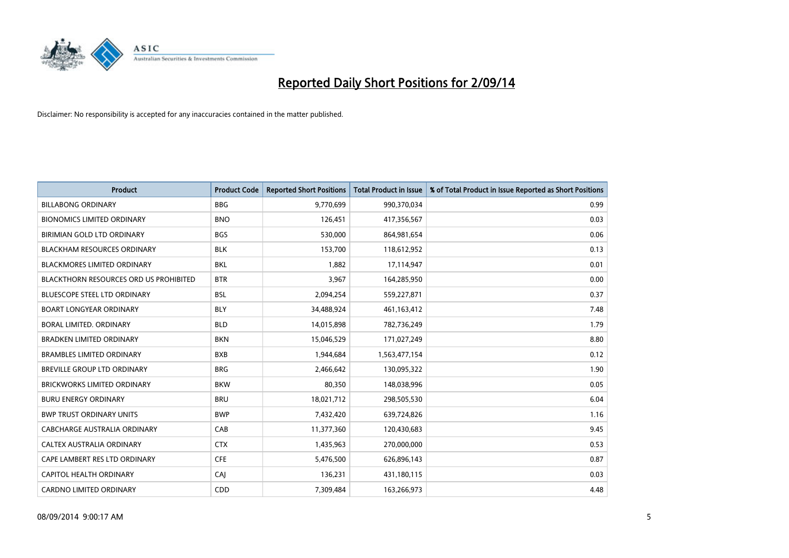

| <b>Product</b>                                | <b>Product Code</b> | <b>Reported Short Positions</b> | <b>Total Product in Issue</b> | % of Total Product in Issue Reported as Short Positions |
|-----------------------------------------------|---------------------|---------------------------------|-------------------------------|---------------------------------------------------------|
| <b>BILLABONG ORDINARY</b>                     | <b>BBG</b>          | 9,770,699                       | 990,370,034                   | 0.99                                                    |
| <b>BIONOMICS LIMITED ORDINARY</b>             | <b>BNO</b>          | 126,451                         | 417,356,567                   | 0.03                                                    |
| BIRIMIAN GOLD LTD ORDINARY                    | <b>BGS</b>          | 530,000                         | 864,981,654                   | 0.06                                                    |
| BLACKHAM RESOURCES ORDINARY                   | <b>BLK</b>          | 153,700                         | 118,612,952                   | 0.13                                                    |
| <b>BLACKMORES LIMITED ORDINARY</b>            | <b>BKL</b>          | 1,882                           | 17,114,947                    | 0.01                                                    |
| <b>BLACKTHORN RESOURCES ORD US PROHIBITED</b> | <b>BTR</b>          | 3,967                           | 164,285,950                   | 0.00                                                    |
| <b>BLUESCOPE STEEL LTD ORDINARY</b>           | <b>BSL</b>          | 2,094,254                       | 559,227,871                   | 0.37                                                    |
| <b>BOART LONGYEAR ORDINARY</b>                | <b>BLY</b>          | 34,488,924                      | 461,163,412                   | 7.48                                                    |
| BORAL LIMITED. ORDINARY                       | <b>BLD</b>          | 14,015,898                      | 782,736,249                   | 1.79                                                    |
| <b>BRADKEN LIMITED ORDINARY</b>               | <b>BKN</b>          | 15,046,529                      | 171,027,249                   | 8.80                                                    |
| <b>BRAMBLES LIMITED ORDINARY</b>              | <b>BXB</b>          | 1,944,684                       | 1,563,477,154                 | 0.12                                                    |
| <b>BREVILLE GROUP LTD ORDINARY</b>            | <b>BRG</b>          | 2,466,642                       | 130,095,322                   | 1.90                                                    |
| <b>BRICKWORKS LIMITED ORDINARY</b>            | <b>BKW</b>          | 80,350                          | 148,038,996                   | 0.05                                                    |
| <b>BURU ENERGY ORDINARY</b>                   | <b>BRU</b>          | 18,021,712                      | 298,505,530                   | 6.04                                                    |
| <b>BWP TRUST ORDINARY UNITS</b>               | <b>BWP</b>          | 7,432,420                       | 639,724,826                   | 1.16                                                    |
| CABCHARGE AUSTRALIA ORDINARY                  | CAB                 | 11,377,360                      | 120,430,683                   | 9.45                                                    |
| CALTEX AUSTRALIA ORDINARY                     | <b>CTX</b>          | 1,435,963                       | 270,000,000                   | 0.53                                                    |
| CAPE LAMBERT RES LTD ORDINARY                 | <b>CFE</b>          | 5,476,500                       | 626,896,143                   | 0.87                                                    |
| CAPITOL HEALTH ORDINARY                       | CAI                 | 136,231                         | 431,180,115                   | 0.03                                                    |
| <b>CARDNO LIMITED ORDINARY</b>                | CDD                 | 7,309,484                       | 163,266,973                   | 4.48                                                    |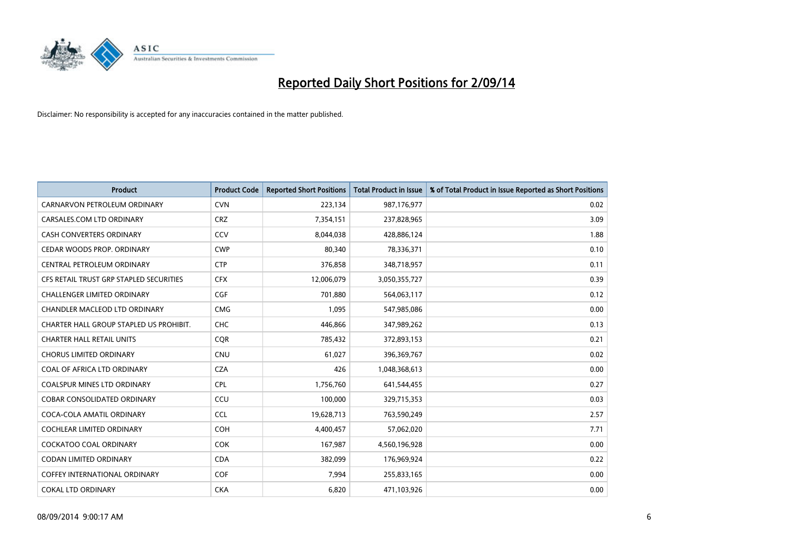

| <b>Product</b>                          | <b>Product Code</b> | <b>Reported Short Positions</b> | <b>Total Product in Issue</b> | % of Total Product in Issue Reported as Short Positions |
|-----------------------------------------|---------------------|---------------------------------|-------------------------------|---------------------------------------------------------|
| CARNARVON PETROLEUM ORDINARY            | <b>CVN</b>          | 223,134                         | 987,176,977                   | 0.02                                                    |
| CARSALES.COM LTD ORDINARY               | <b>CRZ</b>          | 7,354,151                       | 237,828,965                   | 3.09                                                    |
| <b>CASH CONVERTERS ORDINARY</b>         | CCV                 | 8,044,038                       | 428,886,124                   | 1.88                                                    |
| CEDAR WOODS PROP. ORDINARY              | <b>CWP</b>          | 80,340                          | 78,336,371                    | 0.10                                                    |
| CENTRAL PETROLEUM ORDINARY              | <b>CTP</b>          | 376,858                         | 348,718,957                   | 0.11                                                    |
| CFS RETAIL TRUST GRP STAPLED SECURITIES | <b>CFX</b>          | 12,006,079                      | 3,050,355,727                 | 0.39                                                    |
| <b>CHALLENGER LIMITED ORDINARY</b>      | <b>CGF</b>          | 701,880                         | 564,063,117                   | 0.12                                                    |
| CHANDLER MACLEOD LTD ORDINARY           | <b>CMG</b>          | 1,095                           | 547,985,086                   | 0.00                                                    |
| CHARTER HALL GROUP STAPLED US PROHIBIT. | <b>CHC</b>          | 446,866                         | 347,989,262                   | 0.13                                                    |
| <b>CHARTER HALL RETAIL UNITS</b>        | <b>COR</b>          | 785,432                         | 372,893,153                   | 0.21                                                    |
| <b>CHORUS LIMITED ORDINARY</b>          | <b>CNU</b>          | 61,027                          | 396,369,767                   | 0.02                                                    |
| COAL OF AFRICA LTD ORDINARY             | <b>CZA</b>          | 426                             | 1,048,368,613                 | 0.00                                                    |
| COALSPUR MINES LTD ORDINARY             | <b>CPL</b>          | 1,756,760                       | 641,544,455                   | 0.27                                                    |
| <b>COBAR CONSOLIDATED ORDINARY</b>      | CCU                 | 100,000                         | 329,715,353                   | 0.03                                                    |
| COCA-COLA AMATIL ORDINARY               | <b>CCL</b>          | 19,628,713                      | 763,590,249                   | 2.57                                                    |
| COCHLEAR LIMITED ORDINARY               | <b>COH</b>          | 4,400,457                       | 57,062,020                    | 7.71                                                    |
| <b>COCKATOO COAL ORDINARY</b>           | <b>COK</b>          | 167,987                         | 4,560,196,928                 | 0.00                                                    |
| <b>CODAN LIMITED ORDINARY</b>           | <b>CDA</b>          | 382,099                         | 176,969,924                   | 0.22                                                    |
| <b>COFFEY INTERNATIONAL ORDINARY</b>    | <b>COF</b>          | 7,994                           | 255,833,165                   | 0.00                                                    |
| <b>COKAL LTD ORDINARY</b>               | <b>CKA</b>          | 6,820                           | 471,103,926                   | 0.00                                                    |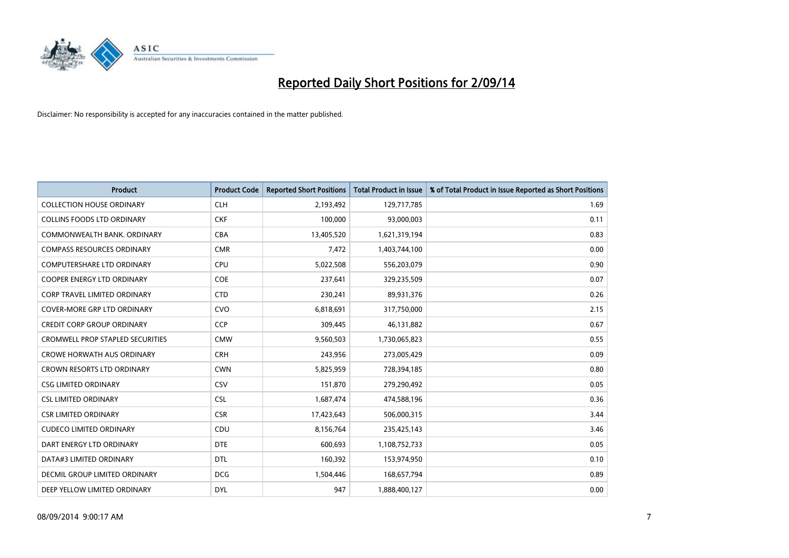

| <b>Product</b>                          | <b>Product Code</b> | <b>Reported Short Positions</b> | <b>Total Product in Issue</b> | % of Total Product in Issue Reported as Short Positions |
|-----------------------------------------|---------------------|---------------------------------|-------------------------------|---------------------------------------------------------|
| <b>COLLECTION HOUSE ORDINARY</b>        | <b>CLH</b>          | 2,193,492                       | 129,717,785                   | 1.69                                                    |
| <b>COLLINS FOODS LTD ORDINARY</b>       | <b>CKF</b>          | 100,000                         | 93,000,003                    | 0.11                                                    |
| COMMONWEALTH BANK, ORDINARY             | <b>CBA</b>          | 13,405,520                      | 1,621,319,194                 | 0.83                                                    |
| <b>COMPASS RESOURCES ORDINARY</b>       | <b>CMR</b>          | 7,472                           | 1,403,744,100                 | 0.00                                                    |
| <b>COMPUTERSHARE LTD ORDINARY</b>       | <b>CPU</b>          | 5,022,508                       | 556,203,079                   | 0.90                                                    |
| <b>COOPER ENERGY LTD ORDINARY</b>       | <b>COE</b>          | 237,641                         | 329,235,509                   | 0.07                                                    |
| <b>CORP TRAVEL LIMITED ORDINARY</b>     | <b>CTD</b>          | 230,241                         | 89,931,376                    | 0.26                                                    |
| COVER-MORE GRP LTD ORDINARY             | <b>CVO</b>          | 6,818,691                       | 317,750,000                   | 2.15                                                    |
| <b>CREDIT CORP GROUP ORDINARY</b>       | CCP                 | 309,445                         | 46,131,882                    | 0.67                                                    |
| <b>CROMWELL PROP STAPLED SECURITIES</b> | <b>CMW</b>          | 9,560,503                       | 1,730,065,823                 | 0.55                                                    |
| <b>CROWE HORWATH AUS ORDINARY</b>       | <b>CRH</b>          | 243,956                         | 273,005,429                   | 0.09                                                    |
| <b>CROWN RESORTS LTD ORDINARY</b>       | <b>CWN</b>          | 5,825,959                       | 728,394,185                   | 0.80                                                    |
| <b>CSG LIMITED ORDINARY</b>             | <b>CSV</b>          | 151,870                         | 279,290,492                   | 0.05                                                    |
| <b>CSL LIMITED ORDINARY</b>             | <b>CSL</b>          | 1,687,474                       | 474,588,196                   | 0.36                                                    |
| <b>CSR LIMITED ORDINARY</b>             | <b>CSR</b>          | 17,423,643                      | 506,000,315                   | 3.44                                                    |
| <b>CUDECO LIMITED ORDINARY</b>          | CDU                 | 8,156,764                       | 235,425,143                   | 3.46                                                    |
| DART ENERGY LTD ORDINARY                | <b>DTE</b>          | 600,693                         | 1,108,752,733                 | 0.05                                                    |
| DATA#3 LIMITED ORDINARY                 | DTL                 | 160,392                         | 153,974,950                   | 0.10                                                    |
| DECMIL GROUP LIMITED ORDINARY           | <b>DCG</b>          | 1,504,446                       | 168,657,794                   | 0.89                                                    |
| DEEP YELLOW LIMITED ORDINARY            | <b>DYL</b>          | 947                             | 1,888,400,127                 | 0.00                                                    |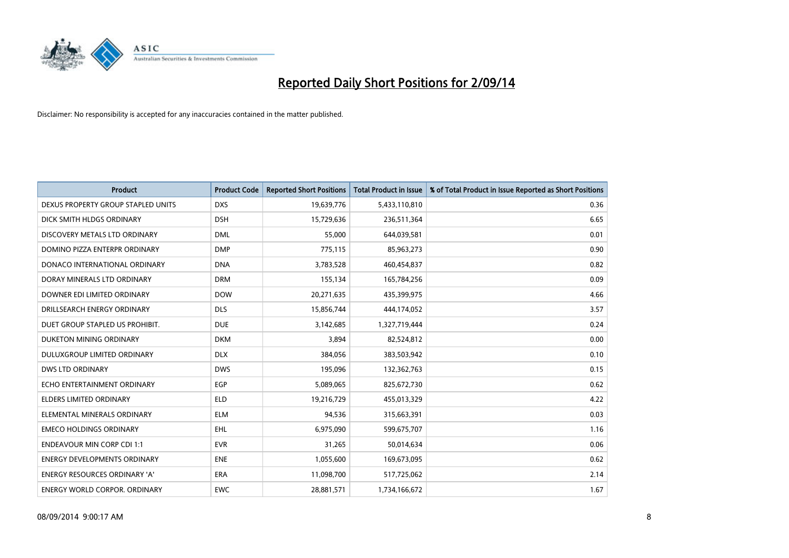

| <b>Product</b>                       | <b>Product Code</b> | <b>Reported Short Positions</b> | <b>Total Product in Issue</b> | % of Total Product in Issue Reported as Short Positions |
|--------------------------------------|---------------------|---------------------------------|-------------------------------|---------------------------------------------------------|
| DEXUS PROPERTY GROUP STAPLED UNITS   | <b>DXS</b>          | 19,639,776                      | 5,433,110,810                 | 0.36                                                    |
| DICK SMITH HLDGS ORDINARY            | <b>DSH</b>          | 15,729,636                      | 236,511,364                   | 6.65                                                    |
| DISCOVERY METALS LTD ORDINARY        | <b>DML</b>          | 55,000                          | 644,039,581                   | 0.01                                                    |
| DOMINO PIZZA ENTERPR ORDINARY        | <b>DMP</b>          | 775,115                         | 85,963,273                    | 0.90                                                    |
| DONACO INTERNATIONAL ORDINARY        | <b>DNA</b>          | 3,783,528                       | 460,454,837                   | 0.82                                                    |
| DORAY MINERALS LTD ORDINARY          | <b>DRM</b>          | 155,134                         | 165,784,256                   | 0.09                                                    |
| DOWNER EDI LIMITED ORDINARY          | <b>DOW</b>          | 20,271,635                      | 435,399,975                   | 4.66                                                    |
| DRILLSEARCH ENERGY ORDINARY          | <b>DLS</b>          | 15,856,744                      | 444,174,052                   | 3.57                                                    |
| DUET GROUP STAPLED US PROHIBIT.      | <b>DUE</b>          | 3,142,685                       | 1,327,719,444                 | 0.24                                                    |
| DUKETON MINING ORDINARY              | <b>DKM</b>          | 3,894                           | 82,524,812                    | 0.00                                                    |
| DULUXGROUP LIMITED ORDINARY          | <b>DLX</b>          | 384,056                         | 383,503,942                   | 0.10                                                    |
| <b>DWS LTD ORDINARY</b>              | <b>DWS</b>          | 195,096                         | 132,362,763                   | 0.15                                                    |
| ECHO ENTERTAINMENT ORDINARY          | <b>EGP</b>          | 5,089,065                       | 825,672,730                   | 0.62                                                    |
| <b>ELDERS LIMITED ORDINARY</b>       | <b>ELD</b>          | 19,216,729                      | 455,013,329                   | 4.22                                                    |
| ELEMENTAL MINERALS ORDINARY          | <b>ELM</b>          | 94,536                          | 315,663,391                   | 0.03                                                    |
| <b>EMECO HOLDINGS ORDINARY</b>       | <b>EHL</b>          | 6,975,090                       | 599,675,707                   | 1.16                                                    |
| <b>ENDEAVOUR MIN CORP CDI 1:1</b>    | <b>EVR</b>          | 31,265                          | 50,014,634                    | 0.06                                                    |
| <b>ENERGY DEVELOPMENTS ORDINARY</b>  | <b>ENE</b>          | 1,055,600                       | 169,673,095                   | 0.62                                                    |
| <b>ENERGY RESOURCES ORDINARY 'A'</b> | <b>ERA</b>          | 11,098,700                      | 517,725,062                   | 2.14                                                    |
| <b>ENERGY WORLD CORPOR, ORDINARY</b> | <b>EWC</b>          | 28,881,571                      | 1,734,166,672                 | 1.67                                                    |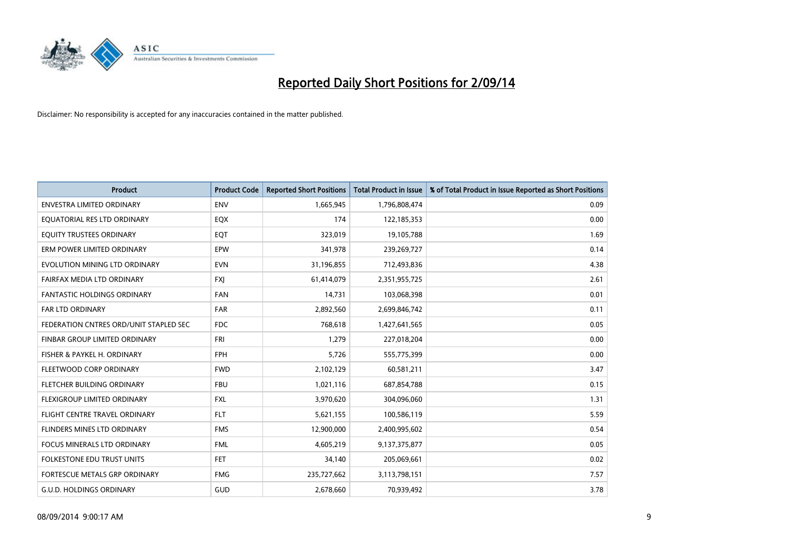

| <b>Product</b>                         | <b>Product Code</b> | <b>Reported Short Positions</b> | <b>Total Product in Issue</b> | % of Total Product in Issue Reported as Short Positions |
|----------------------------------------|---------------------|---------------------------------|-------------------------------|---------------------------------------------------------|
| <b>ENVESTRA LIMITED ORDINARY</b>       | <b>ENV</b>          | 1,665,945                       | 1,796,808,474                 | 0.09                                                    |
| EQUATORIAL RES LTD ORDINARY            | EQX                 | 174                             | 122,185,353                   | 0.00                                                    |
| EQUITY TRUSTEES ORDINARY               | EQT                 | 323,019                         | 19,105,788                    | 1.69                                                    |
| ERM POWER LIMITED ORDINARY             | EPW                 | 341,978                         | 239,269,727                   | 0.14                                                    |
| EVOLUTION MINING LTD ORDINARY          | <b>EVN</b>          | 31,196,855                      | 712,493,836                   | 4.38                                                    |
| FAIRFAX MEDIA LTD ORDINARY             | <b>FXJ</b>          | 61,414,079                      | 2,351,955,725                 | 2.61                                                    |
| FANTASTIC HOLDINGS ORDINARY            | FAN                 | 14,731                          | 103,068,398                   | 0.01                                                    |
| FAR LTD ORDINARY                       | <b>FAR</b>          | 2,892,560                       | 2,699,846,742                 | 0.11                                                    |
| FEDERATION CNTRES ORD/UNIT STAPLED SEC | <b>FDC</b>          | 768,618                         | 1,427,641,565                 | 0.05                                                    |
| FINBAR GROUP LIMITED ORDINARY          | <b>FRI</b>          | 1,279                           | 227,018,204                   | 0.00                                                    |
| FISHER & PAYKEL H. ORDINARY            | <b>FPH</b>          | 5,726                           | 555,775,399                   | 0.00                                                    |
| FLEETWOOD CORP ORDINARY                | <b>FWD</b>          | 2,102,129                       | 60,581,211                    | 3.47                                                    |
| FLETCHER BUILDING ORDINARY             | <b>FBU</b>          | 1,021,116                       | 687,854,788                   | 0.15                                                    |
| FLEXIGROUP LIMITED ORDINARY            | <b>FXL</b>          | 3,970,620                       | 304,096,060                   | 1.31                                                    |
| FLIGHT CENTRE TRAVEL ORDINARY          | <b>FLT</b>          | 5,621,155                       | 100,586,119                   | 5.59                                                    |
| FLINDERS MINES LTD ORDINARY            | <b>FMS</b>          | 12,900,000                      | 2,400,995,602                 | 0.54                                                    |
| FOCUS MINERALS LTD ORDINARY            | <b>FML</b>          | 4,605,219                       | 9,137,375,877                 | 0.05                                                    |
| <b>FOLKESTONE EDU TRUST UNITS</b>      | <b>FET</b>          | 34,140                          | 205,069,661                   | 0.02                                                    |
| FORTESCUE METALS GRP ORDINARY          | <b>FMG</b>          | 235,727,662                     | 3,113,798,151                 | 7.57                                                    |
| <b>G.U.D. HOLDINGS ORDINARY</b>        | GUD                 | 2,678,660                       | 70,939,492                    | 3.78                                                    |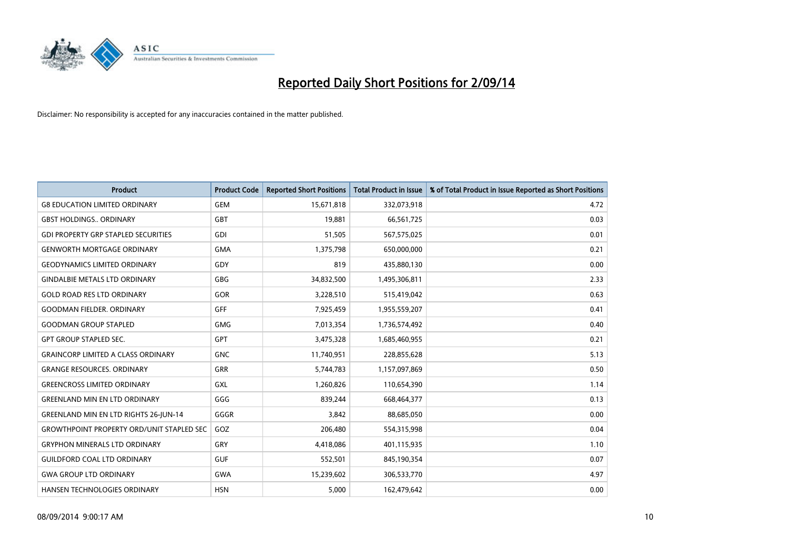

| <b>Product</b>                                   | <b>Product Code</b> | <b>Reported Short Positions</b> | <b>Total Product in Issue</b> | % of Total Product in Issue Reported as Short Positions |
|--------------------------------------------------|---------------------|---------------------------------|-------------------------------|---------------------------------------------------------|
| <b>G8 EDUCATION LIMITED ORDINARY</b>             | <b>GEM</b>          | 15,671,818                      | 332,073,918                   | 4.72                                                    |
| <b>GBST HOLDINGS ORDINARY</b>                    | GBT                 | 19,881                          | 66,561,725                    | 0.03                                                    |
| <b>GDI PROPERTY GRP STAPLED SECURITIES</b>       | GDI                 | 51,505                          | 567,575,025                   | 0.01                                                    |
| <b>GENWORTH MORTGAGE ORDINARY</b>                | <b>GMA</b>          | 1,375,798                       | 650,000,000                   | 0.21                                                    |
| <b>GEODYNAMICS LIMITED ORDINARY</b>              | GDY                 | 819                             | 435,880,130                   | 0.00                                                    |
| <b>GINDALBIE METALS LTD ORDINARY</b>             | GBG                 | 34,832,500                      | 1,495,306,811                 | 2.33                                                    |
| <b>GOLD ROAD RES LTD ORDINARY</b>                | GOR                 | 3,228,510                       | 515,419,042                   | 0.63                                                    |
| <b>GOODMAN FIELDER. ORDINARY</b>                 | GFF                 | 7,925,459                       | 1,955,559,207                 | 0.41                                                    |
| <b>GOODMAN GROUP STAPLED</b>                     | <b>GMG</b>          | 7,013,354                       | 1,736,574,492                 | 0.40                                                    |
| <b>GPT GROUP STAPLED SEC.</b>                    | GPT                 | 3,475,328                       | 1,685,460,955                 | 0.21                                                    |
| <b>GRAINCORP LIMITED A CLASS ORDINARY</b>        | <b>GNC</b>          | 11,740,951                      | 228,855,628                   | 5.13                                                    |
| <b>GRANGE RESOURCES. ORDINARY</b>                | GRR                 | 5,744,783                       | 1,157,097,869                 | 0.50                                                    |
| <b>GREENCROSS LIMITED ORDINARY</b>               | <b>GXL</b>          | 1,260,826                       | 110,654,390                   | 1.14                                                    |
| <b>GREENLAND MIN EN LTD ORDINARY</b>             | GGG                 | 839,244                         | 668,464,377                   | 0.13                                                    |
| GREENLAND MIN EN LTD RIGHTS 26-JUN-14            | GGGR                | 3,842                           | 88,685,050                    | 0.00                                                    |
| <b>GROWTHPOINT PROPERTY ORD/UNIT STAPLED SEC</b> | GOZ                 | 206,480                         | 554,315,998                   | 0.04                                                    |
| <b>GRYPHON MINERALS LTD ORDINARY</b>             | GRY                 | 4,418,086                       | 401,115,935                   | 1.10                                                    |
| <b>GUILDFORD COAL LTD ORDINARY</b>               | <b>GUF</b>          | 552,501                         | 845,190,354                   | 0.07                                                    |
| <b>GWA GROUP LTD ORDINARY</b>                    | <b>GWA</b>          | 15,239,602                      | 306,533,770                   | 4.97                                                    |
| HANSEN TECHNOLOGIES ORDINARY                     | <b>HSN</b>          | 5,000                           | 162,479,642                   | 0.00                                                    |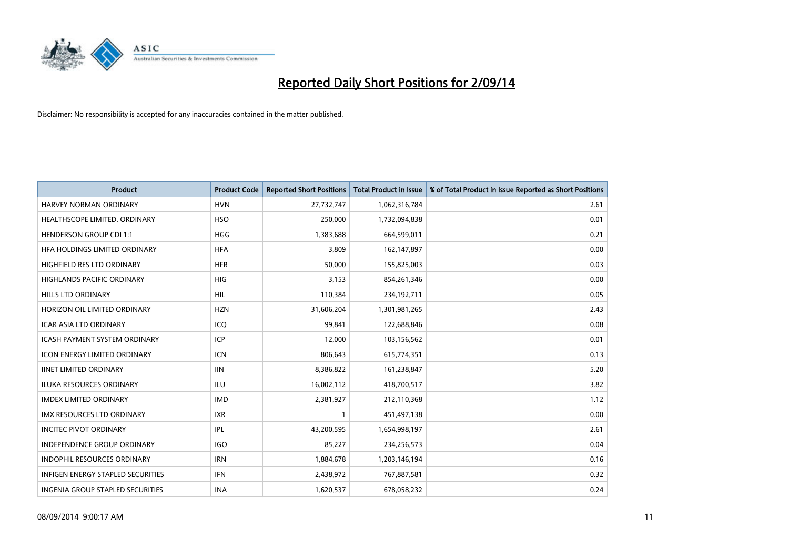

| <b>Product</b>                           | <b>Product Code</b> | <b>Reported Short Positions</b> | <b>Total Product in Issue</b> | % of Total Product in Issue Reported as Short Positions |
|------------------------------------------|---------------------|---------------------------------|-------------------------------|---------------------------------------------------------|
| <b>HARVEY NORMAN ORDINARY</b>            | <b>HVN</b>          | 27,732,747                      | 1,062,316,784                 | 2.61                                                    |
| HEALTHSCOPE LIMITED. ORDINARY            | <b>HSO</b>          | 250,000                         | 1,732,094,838                 | 0.01                                                    |
| <b>HENDERSON GROUP CDI 1:1</b>           | <b>HGG</b>          | 1,383,688                       | 664,599,011                   | 0.21                                                    |
| HFA HOLDINGS LIMITED ORDINARY            | <b>HFA</b>          | 3,809                           | 162,147,897                   | 0.00                                                    |
| <b>HIGHFIELD RES LTD ORDINARY</b>        | <b>HFR</b>          | 50,000                          | 155,825,003                   | 0.03                                                    |
| <b>HIGHLANDS PACIFIC ORDINARY</b>        | <b>HIG</b>          | 3,153                           | 854,261,346                   | 0.00                                                    |
| <b>HILLS LTD ORDINARY</b>                | HIL                 | 110,384                         | 234,192,711                   | 0.05                                                    |
| HORIZON OIL LIMITED ORDINARY             | <b>HZN</b>          | 31,606,204                      | 1,301,981,265                 | 2.43                                                    |
| ICAR ASIA LTD ORDINARY                   | ICQ                 | 99,841                          | 122,688,846                   | 0.08                                                    |
| <b>ICASH PAYMENT SYSTEM ORDINARY</b>     | <b>ICP</b>          | 12,000                          | 103,156,562                   | 0.01                                                    |
| <b>ICON ENERGY LIMITED ORDINARY</b>      | <b>ICN</b>          | 806,643                         | 615,774,351                   | 0.13                                                    |
| <b>IINET LIMITED ORDINARY</b>            | <b>IIN</b>          | 8,386,822                       | 161,238,847                   | 5.20                                                    |
| <b>ILUKA RESOURCES ORDINARY</b>          | <b>ILU</b>          | 16,002,112                      | 418,700,517                   | 3.82                                                    |
| <b>IMDEX LIMITED ORDINARY</b>            | <b>IMD</b>          | 2,381,927                       | 212,110,368                   | 1.12                                                    |
| <b>IMX RESOURCES LTD ORDINARY</b>        | <b>IXR</b>          | 1                               | 451,497,138                   | 0.00                                                    |
| <b>INCITEC PIVOT ORDINARY</b>            | IPL                 | 43,200,595                      | 1,654,998,197                 | 2.61                                                    |
| <b>INDEPENDENCE GROUP ORDINARY</b>       | <b>IGO</b>          | 85,227                          | 234,256,573                   | 0.04                                                    |
| INDOPHIL RESOURCES ORDINARY              | <b>IRN</b>          | 1,884,678                       | 1,203,146,194                 | 0.16                                                    |
| <b>INFIGEN ENERGY STAPLED SECURITIES</b> | <b>IFN</b>          | 2,438,972                       | 767,887,581                   | 0.32                                                    |
| INGENIA GROUP STAPLED SECURITIES         | <b>INA</b>          | 1,620,537                       | 678,058,232                   | 0.24                                                    |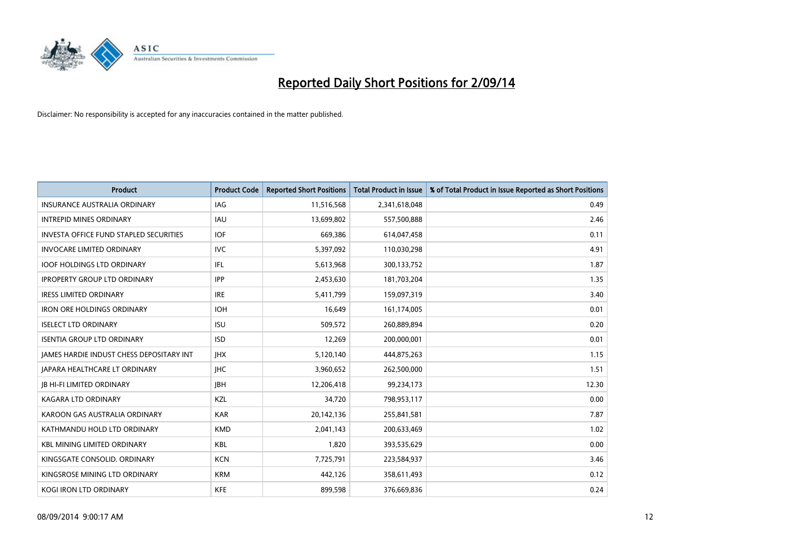

| <b>Product</b>                                  | <b>Product Code</b> | <b>Reported Short Positions</b> | <b>Total Product in Issue</b> | % of Total Product in Issue Reported as Short Positions |
|-------------------------------------------------|---------------------|---------------------------------|-------------------------------|---------------------------------------------------------|
| <b>INSURANCE AUSTRALIA ORDINARY</b>             | IAG                 | 11,516,568                      | 2,341,618,048                 | 0.49                                                    |
| <b>INTREPID MINES ORDINARY</b>                  | <b>IAU</b>          | 13,699,802                      | 557,500,888                   | 2.46                                                    |
| <b>INVESTA OFFICE FUND STAPLED SECURITIES</b>   | IOF                 | 669,386                         | 614,047,458                   | 0.11                                                    |
| <b>INVOCARE LIMITED ORDINARY</b>                | <b>IVC</b>          | 5,397,092                       | 110,030,298                   | 4.91                                                    |
| <b>IOOF HOLDINGS LTD ORDINARY</b>               | IFL                 | 5,613,968                       | 300,133,752                   | 1.87                                                    |
| <b>IPROPERTY GROUP LTD ORDINARY</b>             | <b>IPP</b>          | 2,453,630                       | 181,703,204                   | 1.35                                                    |
| <b>IRESS LIMITED ORDINARY</b>                   | <b>IRE</b>          | 5,411,799                       | 159,097,319                   | 3.40                                                    |
| <b>IRON ORE HOLDINGS ORDINARY</b>               | <b>IOH</b>          | 16,649                          | 161,174,005                   | 0.01                                                    |
| <b>ISELECT LTD ORDINARY</b>                     | <b>ISU</b>          | 509,572                         | 260,889,894                   | 0.20                                                    |
| <b>ISENTIA GROUP LTD ORDINARY</b>               | <b>ISD</b>          | 12,269                          | 200,000,001                   | 0.01                                                    |
| <b>JAMES HARDIE INDUST CHESS DEPOSITARY INT</b> | <b>IHX</b>          | 5,120,140                       | 444,875,263                   | 1.15                                                    |
| JAPARA HEALTHCARE LT ORDINARY                   | <b>IHC</b>          | 3,960,652                       | 262,500,000                   | 1.51                                                    |
| <b>JB HI-FI LIMITED ORDINARY</b>                | <b>IBH</b>          | 12,206,418                      | 99,234,173                    | 12.30                                                   |
| <b>KAGARA LTD ORDINARY</b>                      | KZL                 | 34.720                          | 798,953,117                   | 0.00                                                    |
| KAROON GAS AUSTRALIA ORDINARY                   | <b>KAR</b>          | 20,142,136                      | 255,841,581                   | 7.87                                                    |
| KATHMANDU HOLD LTD ORDINARY                     | <b>KMD</b>          | 2,041,143                       | 200,633,469                   | 1.02                                                    |
| <b>KBL MINING LIMITED ORDINARY</b>              | <b>KBL</b>          | 1,820                           | 393,535,629                   | 0.00                                                    |
| KINGSGATE CONSOLID. ORDINARY                    | <b>KCN</b>          | 7,725,791                       | 223,584,937                   | 3.46                                                    |
| KINGSROSE MINING LTD ORDINARY                   | <b>KRM</b>          | 442,126                         | 358,611,493                   | 0.12                                                    |
| <b>KOGI IRON LTD ORDINARY</b>                   | <b>KFE</b>          | 899,598                         | 376,669,836                   | 0.24                                                    |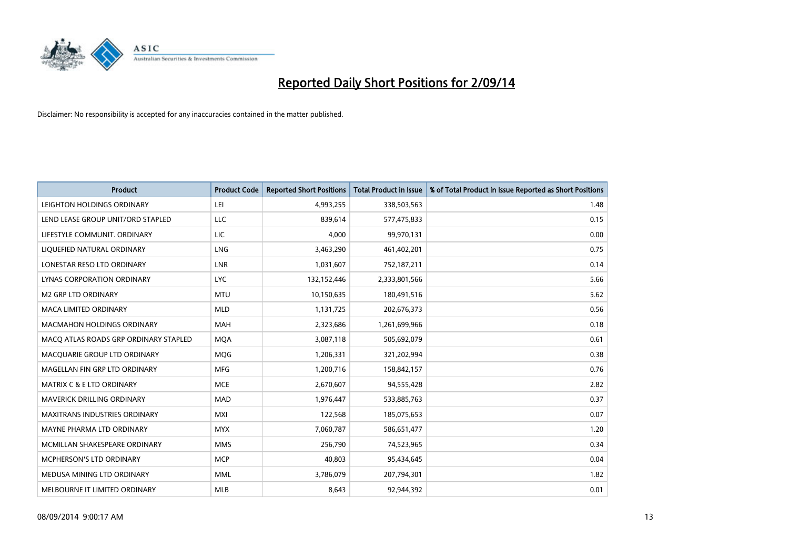

| <b>Product</b>                        | <b>Product Code</b> | <b>Reported Short Positions</b> | <b>Total Product in Issue</b> | % of Total Product in Issue Reported as Short Positions |
|---------------------------------------|---------------------|---------------------------------|-------------------------------|---------------------------------------------------------|
| LEIGHTON HOLDINGS ORDINARY            | LEI                 | 4,993,255                       | 338,503,563                   | 1.48                                                    |
| LEND LEASE GROUP UNIT/ORD STAPLED     | <b>LLC</b>          | 839,614                         | 577,475,833                   | 0.15                                                    |
| LIFESTYLE COMMUNIT, ORDINARY          | <b>LIC</b>          | 4.000                           | 99,970,131                    | 0.00                                                    |
| LIQUEFIED NATURAL ORDINARY            | <b>LNG</b>          | 3,463,290                       | 461,402,201                   | 0.75                                                    |
| LONESTAR RESO LTD ORDINARY            | LNR                 | 1,031,607                       | 752,187,211                   | 0.14                                                    |
| LYNAS CORPORATION ORDINARY            | <b>LYC</b>          | 132,152,446                     | 2,333,801,566                 | 5.66                                                    |
| <b>M2 GRP LTD ORDINARY</b>            | <b>MTU</b>          | 10,150,635                      | 180,491,516                   | 5.62                                                    |
| MACA LIMITED ORDINARY                 | <b>MLD</b>          | 1,131,725                       | 202,676,373                   | 0.56                                                    |
| <b>MACMAHON HOLDINGS ORDINARY</b>     | <b>MAH</b>          | 2,323,686                       | 1,261,699,966                 | 0.18                                                    |
| MACO ATLAS ROADS GRP ORDINARY STAPLED | <b>MOA</b>          | 3,087,118                       | 505,692,079                   | 0.61                                                    |
| MACQUARIE GROUP LTD ORDINARY          | MQG                 | 1,206,331                       | 321,202,994                   | 0.38                                                    |
| MAGELLAN FIN GRP LTD ORDINARY         | <b>MFG</b>          | 1,200,716                       | 158,842,157                   | 0.76                                                    |
| <b>MATRIX C &amp; E LTD ORDINARY</b>  | <b>MCE</b>          | 2,670,607                       | 94,555,428                    | 2.82                                                    |
| MAVERICK DRILLING ORDINARY            | <b>MAD</b>          | 1,976,447                       | 533,885,763                   | 0.37                                                    |
| <b>MAXITRANS INDUSTRIES ORDINARY</b>  | <b>MXI</b>          | 122,568                         | 185,075,653                   | 0.07                                                    |
| MAYNE PHARMA LTD ORDINARY             | <b>MYX</b>          | 7,060,787                       | 586,651,477                   | 1.20                                                    |
| MCMILLAN SHAKESPEARE ORDINARY         | <b>MMS</b>          | 256,790                         | 74,523,965                    | 0.34                                                    |
| <b>MCPHERSON'S LTD ORDINARY</b>       | <b>MCP</b>          | 40,803                          | 95,434,645                    | 0.04                                                    |
| MEDUSA MINING LTD ORDINARY            | <b>MML</b>          | 3,786,079                       | 207,794,301                   | 1.82                                                    |
| MELBOURNE IT LIMITED ORDINARY         | <b>MLB</b>          | 8,643                           | 92,944,392                    | 0.01                                                    |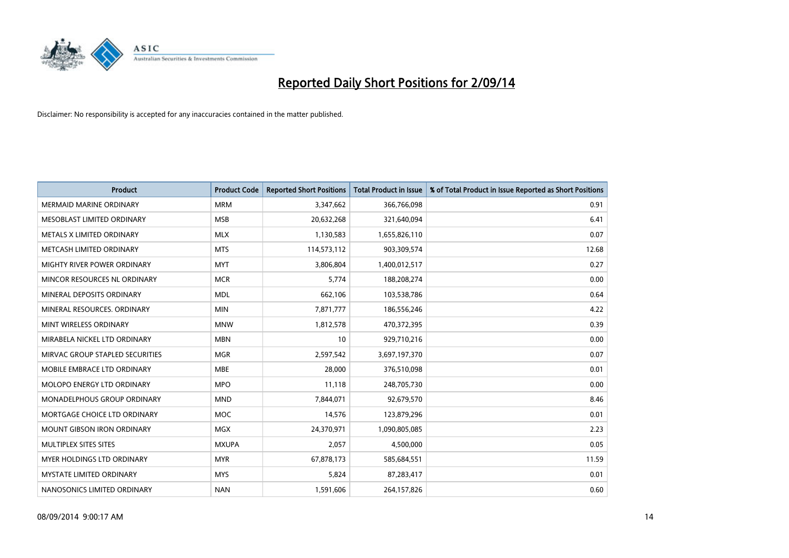

| <b>Product</b>                    | <b>Product Code</b> | <b>Reported Short Positions</b> | <b>Total Product in Issue</b> | % of Total Product in Issue Reported as Short Positions |
|-----------------------------------|---------------------|---------------------------------|-------------------------------|---------------------------------------------------------|
| <b>MERMAID MARINE ORDINARY</b>    | <b>MRM</b>          | 3,347,662                       | 366,766,098                   | 0.91                                                    |
| MESOBLAST LIMITED ORDINARY        | <b>MSB</b>          | 20,632,268                      | 321,640,094                   | 6.41                                                    |
| METALS X LIMITED ORDINARY         | <b>MLX</b>          | 1,130,583                       | 1,655,826,110                 | 0.07                                                    |
| METCASH LIMITED ORDINARY          | <b>MTS</b>          | 114,573,112                     | 903,309,574                   | 12.68                                                   |
| MIGHTY RIVER POWER ORDINARY       | <b>MYT</b>          | 3,806,804                       | 1,400,012,517                 | 0.27                                                    |
| MINCOR RESOURCES NL ORDINARY      | <b>MCR</b>          | 5,774                           | 188,208,274                   | 0.00                                                    |
| MINERAL DEPOSITS ORDINARY         | <b>MDL</b>          | 662,106                         | 103,538,786                   | 0.64                                                    |
| MINERAL RESOURCES. ORDINARY       | <b>MIN</b>          | 7,871,777                       | 186,556,246                   | 4.22                                                    |
| MINT WIRELESS ORDINARY            | <b>MNW</b>          | 1,812,578                       | 470,372,395                   | 0.39                                                    |
| MIRABELA NICKEL LTD ORDINARY      | <b>MBN</b>          | 10                              | 929,710,216                   | 0.00                                                    |
| MIRVAC GROUP STAPLED SECURITIES   | <b>MGR</b>          | 2,597,542                       | 3,697,197,370                 | 0.07                                                    |
| MOBILE EMBRACE LTD ORDINARY       | <b>MBE</b>          | 28,000                          | 376,510,098                   | 0.01                                                    |
| MOLOPO ENERGY LTD ORDINARY        | <b>MPO</b>          | 11,118                          | 248,705,730                   | 0.00                                                    |
| MONADELPHOUS GROUP ORDINARY       | <b>MND</b>          | 7,844,071                       | 92,679,570                    | 8.46                                                    |
| MORTGAGE CHOICE LTD ORDINARY      | <b>MOC</b>          | 14,576                          | 123,879,296                   | 0.01                                                    |
| <b>MOUNT GIBSON IRON ORDINARY</b> | <b>MGX</b>          | 24,370,971                      | 1,090,805,085                 | 2.23                                                    |
| MULTIPLEX SITES SITES             | <b>MXUPA</b>        | 2,057                           | 4,500,000                     | 0.05                                                    |
| MYER HOLDINGS LTD ORDINARY        | <b>MYR</b>          | 67,878,173                      | 585,684,551                   | 11.59                                                   |
| <b>MYSTATE LIMITED ORDINARY</b>   | <b>MYS</b>          | 5,824                           | 87,283,417                    | 0.01                                                    |
| NANOSONICS LIMITED ORDINARY       | <b>NAN</b>          | 1,591,606                       | 264,157,826                   | 0.60                                                    |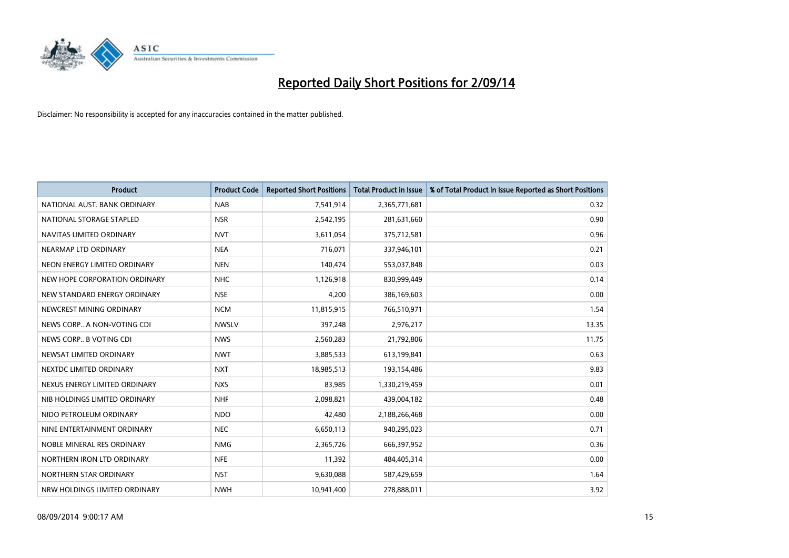

| <b>Product</b>                | <b>Product Code</b> | <b>Reported Short Positions</b> | <b>Total Product in Issue</b> | % of Total Product in Issue Reported as Short Positions |
|-------------------------------|---------------------|---------------------------------|-------------------------------|---------------------------------------------------------|
| NATIONAL AUST. BANK ORDINARY  | <b>NAB</b>          | 7,541,914                       | 2,365,771,681                 | 0.32                                                    |
| NATIONAL STORAGE STAPLED      | <b>NSR</b>          | 2,542,195                       | 281,631,660                   | 0.90                                                    |
| NAVITAS LIMITED ORDINARY      | <b>NVT</b>          | 3,611,054                       | 375,712,581                   | 0.96                                                    |
| NEARMAP LTD ORDINARY          | <b>NEA</b>          | 716,071                         | 337,946,101                   | 0.21                                                    |
| NEON ENERGY LIMITED ORDINARY  | <b>NEN</b>          | 140,474                         | 553,037,848                   | 0.03                                                    |
| NEW HOPE CORPORATION ORDINARY | <b>NHC</b>          | 1,126,918                       | 830,999,449                   | 0.14                                                    |
| NEW STANDARD ENERGY ORDINARY  | <b>NSE</b>          | 4,200                           | 386,169,603                   | 0.00                                                    |
| NEWCREST MINING ORDINARY      | <b>NCM</b>          | 11,815,915                      | 766,510,971                   | 1.54                                                    |
| NEWS CORP A NON-VOTING CDI    | <b>NWSLV</b>        | 397,248                         | 2,976,217                     | 13.35                                                   |
| NEWS CORP B VOTING CDI        | <b>NWS</b>          | 2,560,283                       | 21,792,806                    | 11.75                                                   |
| NEWSAT LIMITED ORDINARY       | <b>NWT</b>          | 3,885,533                       | 613,199,841                   | 0.63                                                    |
| NEXTDC LIMITED ORDINARY       | <b>NXT</b>          | 18,985,513                      | 193,154,486                   | 9.83                                                    |
| NEXUS ENERGY LIMITED ORDINARY | <b>NXS</b>          | 83,985                          | 1,330,219,459                 | 0.01                                                    |
| NIB HOLDINGS LIMITED ORDINARY | <b>NHF</b>          | 2,098,821                       | 439,004,182                   | 0.48                                                    |
| NIDO PETROLEUM ORDINARY       | <b>NDO</b>          | 42,480                          | 2,188,266,468                 | 0.00                                                    |
| NINE ENTERTAINMENT ORDINARY   | <b>NEC</b>          | 6,650,113                       | 940,295,023                   | 0.71                                                    |
| NOBLE MINERAL RES ORDINARY    | <b>NMG</b>          | 2,365,726                       | 666,397,952                   | 0.36                                                    |
| NORTHERN IRON LTD ORDINARY    | <b>NFE</b>          | 11,392                          | 484,405,314                   | 0.00                                                    |
| NORTHERN STAR ORDINARY        | <b>NST</b>          | 9,630,088                       | 587,429,659                   | 1.64                                                    |
| NRW HOLDINGS LIMITED ORDINARY | <b>NWH</b>          | 10,941,400                      | 278,888,011                   | 3.92                                                    |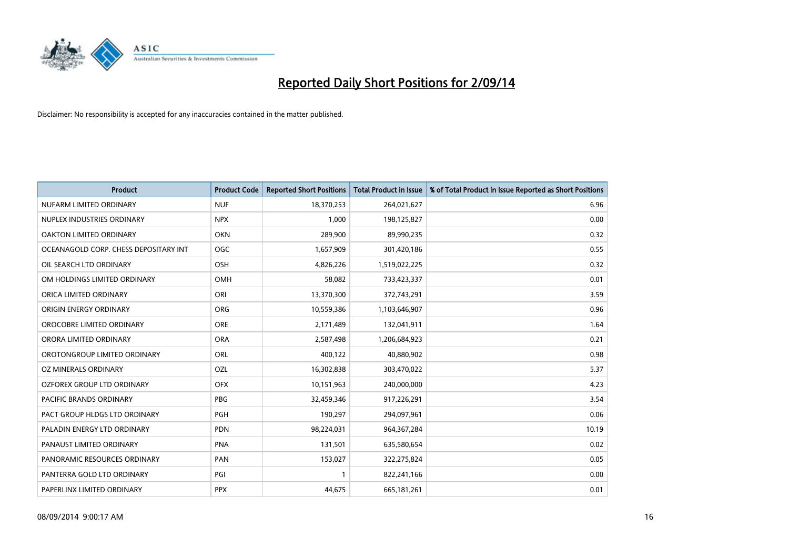

| <b>Product</b>                        | <b>Product Code</b> | <b>Reported Short Positions</b> | <b>Total Product in Issue</b> | % of Total Product in Issue Reported as Short Positions |
|---------------------------------------|---------------------|---------------------------------|-------------------------------|---------------------------------------------------------|
| NUFARM LIMITED ORDINARY               | <b>NUF</b>          | 18,370,253                      | 264,021,627                   | 6.96                                                    |
| NUPLEX INDUSTRIES ORDINARY            | <b>NPX</b>          | 1,000                           | 198,125,827                   | 0.00                                                    |
| OAKTON LIMITED ORDINARY               | <b>OKN</b>          | 289,900                         | 89,990,235                    | 0.32                                                    |
| OCEANAGOLD CORP. CHESS DEPOSITARY INT | <b>OGC</b>          | 1,657,909                       | 301,420,186                   | 0.55                                                    |
| OIL SEARCH LTD ORDINARY               | OSH                 | 4,826,226                       | 1,519,022,225                 | 0.32                                                    |
| OM HOLDINGS LIMITED ORDINARY          | <b>OMH</b>          | 58,082                          | 733,423,337                   | 0.01                                                    |
| ORICA LIMITED ORDINARY                | ORI                 | 13,370,300                      | 372,743,291                   | 3.59                                                    |
| ORIGIN ENERGY ORDINARY                | ORG                 | 10,559,386                      | 1,103,646,907                 | 0.96                                                    |
| OROCOBRE LIMITED ORDINARY             | <b>ORE</b>          | 2,171,489                       | 132,041,911                   | 1.64                                                    |
| ORORA LIMITED ORDINARY                | <b>ORA</b>          | 2,587,498                       | 1,206,684,923                 | 0.21                                                    |
| OROTONGROUP LIMITED ORDINARY          | ORL                 | 400,122                         | 40,880,902                    | 0.98                                                    |
| OZ MINERALS ORDINARY                  | OZL                 | 16,302,838                      | 303,470,022                   | 5.37                                                    |
| OZFOREX GROUP LTD ORDINARY            | <b>OFX</b>          | 10,151,963                      | 240,000,000                   | 4.23                                                    |
| <b>PACIFIC BRANDS ORDINARY</b>        | PBG                 | 32,459,346                      | 917,226,291                   | 3.54                                                    |
| PACT GROUP HLDGS LTD ORDINARY         | <b>PGH</b>          | 190,297                         | 294,097,961                   | 0.06                                                    |
| PALADIN ENERGY LTD ORDINARY           | <b>PDN</b>          | 98,224,031                      | 964, 367, 284                 | 10.19                                                   |
| PANAUST LIMITED ORDINARY              | <b>PNA</b>          | 131,501                         | 635,580,654                   | 0.02                                                    |
| PANORAMIC RESOURCES ORDINARY          | PAN                 | 153,027                         | 322,275,824                   | 0.05                                                    |
| PANTERRA GOLD LTD ORDINARY            | PGI                 | $\mathbf{1}$                    | 822,241,166                   | 0.00                                                    |
| PAPERLINX LIMITED ORDINARY            | <b>PPX</b>          | 44,675                          | 665,181,261                   | 0.01                                                    |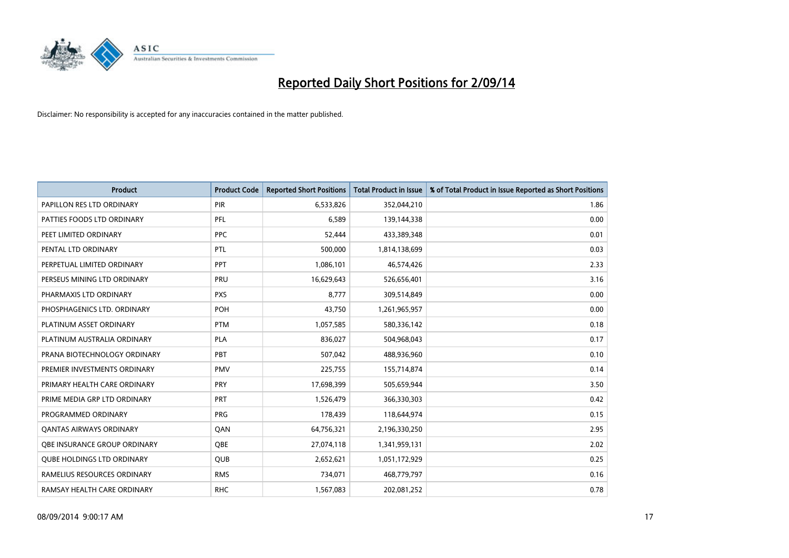

| <b>Product</b>                    | <b>Product Code</b> | <b>Reported Short Positions</b> | <b>Total Product in Issue</b> | % of Total Product in Issue Reported as Short Positions |
|-----------------------------------|---------------------|---------------------------------|-------------------------------|---------------------------------------------------------|
| PAPILLON RES LTD ORDINARY         | <b>PIR</b>          | 6,533,826                       | 352,044,210                   | 1.86                                                    |
| PATTIES FOODS LTD ORDINARY        | <b>PFL</b>          | 6,589                           | 139,144,338                   | 0.00                                                    |
| PEET LIMITED ORDINARY             | <b>PPC</b>          | 52,444                          | 433,389,348                   | 0.01                                                    |
| PENTAL LTD ORDINARY               | PTL                 | 500,000                         | 1,814,138,699                 | 0.03                                                    |
| PERPETUAL LIMITED ORDINARY        | <b>PPT</b>          | 1,086,101                       | 46,574,426                    | 2.33                                                    |
| PERSEUS MINING LTD ORDINARY       | PRU                 | 16,629,643                      | 526,656,401                   | 3.16                                                    |
| PHARMAXIS LTD ORDINARY            | <b>PXS</b>          | 8,777                           | 309,514,849                   | 0.00                                                    |
| PHOSPHAGENICS LTD. ORDINARY       | POH                 | 43,750                          | 1,261,965,957                 | 0.00                                                    |
| PLATINUM ASSET ORDINARY           | <b>PTM</b>          | 1,057,585                       | 580,336,142                   | 0.18                                                    |
| PLATINUM AUSTRALIA ORDINARY       | <b>PLA</b>          | 836,027                         | 504,968,043                   | 0.17                                                    |
| PRANA BIOTECHNOLOGY ORDINARY      | PBT                 | 507,042                         | 488,936,960                   | 0.10                                                    |
| PREMIER INVESTMENTS ORDINARY      | <b>PMV</b>          | 225,755                         | 155,714,874                   | 0.14                                                    |
| PRIMARY HEALTH CARE ORDINARY      | <b>PRY</b>          | 17,698,399                      | 505,659,944                   | 3.50                                                    |
| PRIME MEDIA GRP LTD ORDINARY      | PRT                 | 1,526,479                       | 366,330,303                   | 0.42                                                    |
| PROGRAMMED ORDINARY               | <b>PRG</b>          | 178,439                         | 118,644,974                   | 0.15                                                    |
| <b>QANTAS AIRWAYS ORDINARY</b>    | QAN                 | 64,756,321                      | 2,196,330,250                 | 2.95                                                    |
| OBE INSURANCE GROUP ORDINARY      | <b>OBE</b>          | 27,074,118                      | 1,341,959,131                 | 2.02                                                    |
| <b>QUBE HOLDINGS LTD ORDINARY</b> | QUB                 | 2,652,621                       | 1,051,172,929                 | 0.25                                                    |
| RAMELIUS RESOURCES ORDINARY       | <b>RMS</b>          | 734,071                         | 468,779,797                   | 0.16                                                    |
| RAMSAY HEALTH CARE ORDINARY       | <b>RHC</b>          | 1,567,083                       | 202,081,252                   | 0.78                                                    |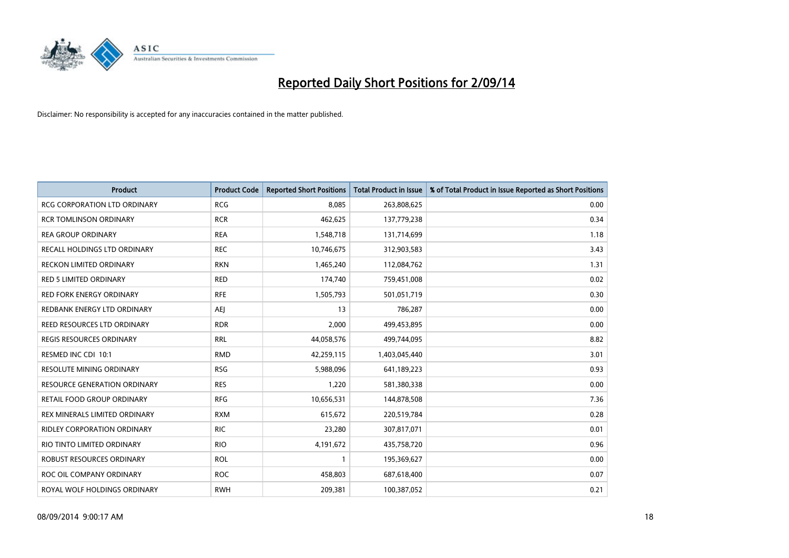

| <b>Product</b>                      | <b>Product Code</b> | <b>Reported Short Positions</b> | <b>Total Product in Issue</b> | % of Total Product in Issue Reported as Short Positions |
|-------------------------------------|---------------------|---------------------------------|-------------------------------|---------------------------------------------------------|
| <b>RCG CORPORATION LTD ORDINARY</b> | <b>RCG</b>          | 8.085                           | 263,808,625                   | 0.00                                                    |
| <b>RCR TOMLINSON ORDINARY</b>       | <b>RCR</b>          | 462,625                         | 137,779,238                   | 0.34                                                    |
| <b>REA GROUP ORDINARY</b>           | <b>REA</b>          | 1,548,718                       | 131,714,699                   | 1.18                                                    |
| RECALL HOLDINGS LTD ORDINARY        | <b>REC</b>          | 10,746,675                      | 312,903,583                   | 3.43                                                    |
| <b>RECKON LIMITED ORDINARY</b>      | <b>RKN</b>          | 1,465,240                       | 112,084,762                   | 1.31                                                    |
| <b>RED 5 LIMITED ORDINARY</b>       | <b>RED</b>          | 174,740                         | 759,451,008                   | 0.02                                                    |
| RED FORK ENERGY ORDINARY            | <b>RFE</b>          | 1,505,793                       | 501,051,719                   | 0.30                                                    |
| REDBANK ENERGY LTD ORDINARY         | AEJ                 | 13                              | 786,287                       | 0.00                                                    |
| REED RESOURCES LTD ORDINARY         | <b>RDR</b>          | 2,000                           | 499,453,895                   | 0.00                                                    |
| <b>REGIS RESOURCES ORDINARY</b>     | <b>RRL</b>          | 44,058,576                      | 499,744,095                   | 8.82                                                    |
| RESMED INC CDI 10:1                 | <b>RMD</b>          | 42,259,115                      | 1,403,045,440                 | 3.01                                                    |
| RESOLUTE MINING ORDINARY            | <b>RSG</b>          | 5,988,096                       | 641,189,223                   | 0.93                                                    |
| <b>RESOURCE GENERATION ORDINARY</b> | <b>RES</b>          | 1,220                           | 581,380,338                   | 0.00                                                    |
| <b>RETAIL FOOD GROUP ORDINARY</b>   | <b>RFG</b>          | 10,656,531                      | 144,878,508                   | 7.36                                                    |
| REX MINERALS LIMITED ORDINARY       | <b>RXM</b>          | 615,672                         | 220,519,784                   | 0.28                                                    |
| <b>RIDLEY CORPORATION ORDINARY</b>  | <b>RIC</b>          | 23,280                          | 307,817,071                   | 0.01                                                    |
| RIO TINTO LIMITED ORDINARY          | <b>RIO</b>          | 4,191,672                       | 435,758,720                   | 0.96                                                    |
| ROBUST RESOURCES ORDINARY           | <b>ROL</b>          | 1                               | 195,369,627                   | 0.00                                                    |
| ROC OIL COMPANY ORDINARY            | <b>ROC</b>          | 458,803                         | 687,618,400                   | 0.07                                                    |
| ROYAL WOLF HOLDINGS ORDINARY        | <b>RWH</b>          | 209,381                         | 100,387,052                   | 0.21                                                    |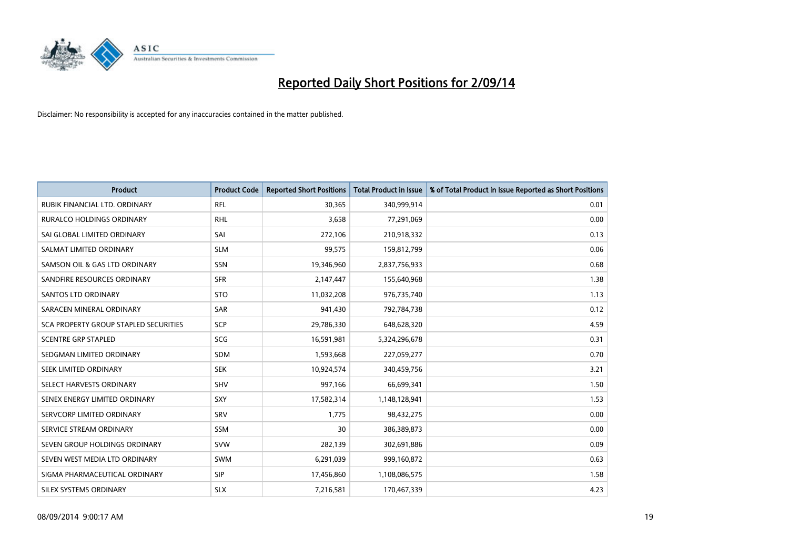

| <b>Product</b>                        | <b>Product Code</b> | <b>Reported Short Positions</b> | <b>Total Product in Issue</b> | % of Total Product in Issue Reported as Short Positions |
|---------------------------------------|---------------------|---------------------------------|-------------------------------|---------------------------------------------------------|
| RUBIK FINANCIAL LTD, ORDINARY         | <b>RFL</b>          | 30,365                          | 340,999,914                   | 0.01                                                    |
| <b>RURALCO HOLDINGS ORDINARY</b>      | <b>RHL</b>          | 3,658                           | 77,291,069                    | 0.00                                                    |
| SAI GLOBAL LIMITED ORDINARY           | SAI                 | 272,106                         | 210,918,332                   | 0.13                                                    |
| SALMAT LIMITED ORDINARY               | <b>SLM</b>          | 99,575                          | 159,812,799                   | 0.06                                                    |
| SAMSON OIL & GAS LTD ORDINARY         | SSN                 | 19,346,960                      | 2,837,756,933                 | 0.68                                                    |
| SANDFIRE RESOURCES ORDINARY           | <b>SFR</b>          | 2,147,447                       | 155,640,968                   | 1.38                                                    |
| <b>SANTOS LTD ORDINARY</b>            | <b>STO</b>          | 11,032,208                      | 976,735,740                   | 1.13                                                    |
| SARACEN MINERAL ORDINARY              | SAR                 | 941,430                         | 792,784,738                   | 0.12                                                    |
| SCA PROPERTY GROUP STAPLED SECURITIES | <b>SCP</b>          | 29,786,330                      | 648,628,320                   | 4.59                                                    |
| <b>SCENTRE GRP STAPLED</b>            | SCG                 | 16,591,981                      | 5,324,296,678                 | 0.31                                                    |
| SEDGMAN LIMITED ORDINARY              | SDM                 | 1,593,668                       | 227,059,277                   | 0.70                                                    |
| SEEK LIMITED ORDINARY                 | <b>SEK</b>          | 10,924,574                      | 340,459,756                   | 3.21                                                    |
| SELECT HARVESTS ORDINARY              | <b>SHV</b>          | 997,166                         | 66,699,341                    | 1.50                                                    |
| SENEX ENERGY LIMITED ORDINARY         | <b>SXY</b>          | 17,582,314                      | 1,148,128,941                 | 1.53                                                    |
| SERVCORP LIMITED ORDINARY             | SRV                 | 1,775                           | 98,432,275                    | 0.00                                                    |
| SERVICE STREAM ORDINARY               | <b>SSM</b>          | 30                              | 386,389,873                   | 0.00                                                    |
| SEVEN GROUP HOLDINGS ORDINARY         | <b>SVW</b>          | 282,139                         | 302,691,886                   | 0.09                                                    |
| SEVEN WEST MEDIA LTD ORDINARY         | <b>SWM</b>          | 6,291,039                       | 999,160,872                   | 0.63                                                    |
| SIGMA PHARMACEUTICAL ORDINARY         | <b>SIP</b>          | 17,456,860                      | 1,108,086,575                 | 1.58                                                    |
| SILEX SYSTEMS ORDINARY                | <b>SLX</b>          | 7,216,581                       | 170,467,339                   | 4.23                                                    |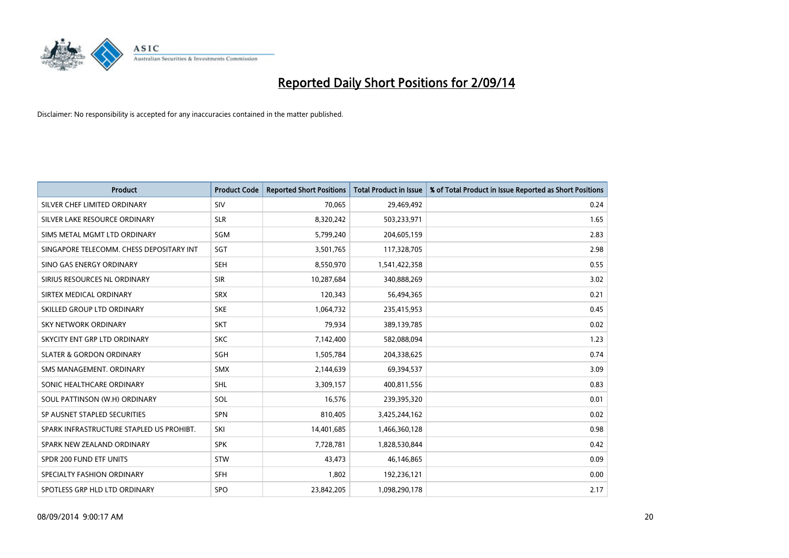

| <b>Product</b>                           | <b>Product Code</b> | <b>Reported Short Positions</b> | <b>Total Product in Issue</b> | % of Total Product in Issue Reported as Short Positions |
|------------------------------------------|---------------------|---------------------------------|-------------------------------|---------------------------------------------------------|
| SILVER CHEF LIMITED ORDINARY             | SIV                 | 70,065                          | 29,469,492                    | 0.24                                                    |
| SILVER LAKE RESOURCE ORDINARY            | <b>SLR</b>          | 8,320,242                       | 503,233,971                   | 1.65                                                    |
| SIMS METAL MGMT LTD ORDINARY             | SGM                 | 5,799,240                       | 204,605,159                   | 2.83                                                    |
| SINGAPORE TELECOMM. CHESS DEPOSITARY INT | SGT                 | 3,501,765                       | 117,328,705                   | 2.98                                                    |
| SINO GAS ENERGY ORDINARY                 | <b>SEH</b>          | 8,550,970                       | 1,541,422,358                 | 0.55                                                    |
| SIRIUS RESOURCES NL ORDINARY             | <b>SIR</b>          | 10,287,684                      | 340,888,269                   | 3.02                                                    |
| SIRTEX MEDICAL ORDINARY                  | <b>SRX</b>          | 120,343                         | 56,494,365                    | 0.21                                                    |
| SKILLED GROUP LTD ORDINARY               | <b>SKE</b>          | 1,064,732                       | 235,415,953                   | 0.45                                                    |
| <b>SKY NETWORK ORDINARY</b>              | <b>SKT</b>          | 79,934                          | 389,139,785                   | 0.02                                                    |
| SKYCITY ENT GRP LTD ORDINARY             | <b>SKC</b>          | 7,142,400                       | 582,088,094                   | 1.23                                                    |
| <b>SLATER &amp; GORDON ORDINARY</b>      | SGH                 | 1,505,784                       | 204,338,625                   | 0.74                                                    |
| SMS MANAGEMENT, ORDINARY                 | SMX                 | 2,144,639                       | 69,394,537                    | 3.09                                                    |
| SONIC HEALTHCARE ORDINARY                | SHL                 | 3,309,157                       | 400,811,556                   | 0.83                                                    |
| SOUL PATTINSON (W.H) ORDINARY            | SOL                 | 16,576                          | 239,395,320                   | 0.01                                                    |
| SP AUSNET STAPLED SECURITIES             | <b>SPN</b>          | 810,405                         | 3,425,244,162                 | 0.02                                                    |
| SPARK INFRASTRUCTURE STAPLED US PROHIBT. | SKI                 | 14,401,685                      | 1,466,360,128                 | 0.98                                                    |
| SPARK NEW ZEALAND ORDINARY               | <b>SPK</b>          | 7,728,781                       | 1,828,530,844                 | 0.42                                                    |
| SPDR 200 FUND ETF UNITS                  | <b>STW</b>          | 43,473                          | 46,146,865                    | 0.09                                                    |
| SPECIALTY FASHION ORDINARY               | <b>SFH</b>          | 1,802                           | 192,236,121                   | 0.00                                                    |
| SPOTLESS GRP HLD LTD ORDINARY            | <b>SPO</b>          | 23,842,205                      | 1,098,290,178                 | 2.17                                                    |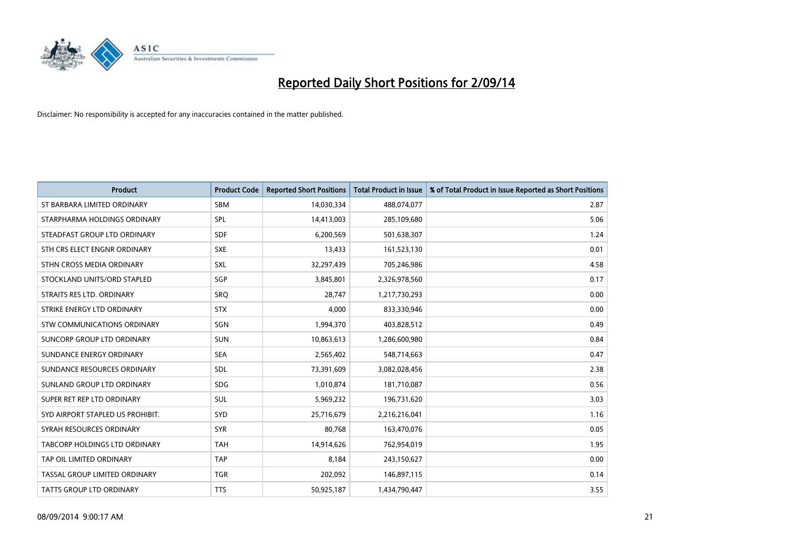

| <b>Product</b>                     | <b>Product Code</b> | <b>Reported Short Positions</b> | <b>Total Product in Issue</b> | % of Total Product in Issue Reported as Short Positions |
|------------------------------------|---------------------|---------------------------------|-------------------------------|---------------------------------------------------------|
| ST BARBARA LIMITED ORDINARY        | <b>SBM</b>          | 14,030,334                      | 488,074,077                   | 2.87                                                    |
| STARPHARMA HOLDINGS ORDINARY       | SPL                 | 14,413,003                      | 285,109,680                   | 5.06                                                    |
| STEADFAST GROUP LTD ORDINARY       | <b>SDF</b>          | 6,200,569                       | 501,638,307                   | 1.24                                                    |
| STH CRS ELECT ENGNR ORDINARY       | <b>SXE</b>          | 13,433                          | 161,523,130                   | 0.01                                                    |
| STHN CROSS MEDIA ORDINARY          | SXL                 | 32,297,439                      | 705,246,986                   | 4.58                                                    |
| STOCKLAND UNITS/ORD STAPLED        | SGP                 | 3,845,801                       | 2,326,978,560                 | 0.17                                                    |
| STRAITS RES LTD. ORDINARY          | <b>SRQ</b>          | 28,747                          | 1,217,730,293                 | 0.00                                                    |
| STRIKE ENERGY LTD ORDINARY         | <b>STX</b>          | 4,000                           | 833,330,946                   | 0.00                                                    |
| <b>STW COMMUNICATIONS ORDINARY</b> | SGN                 | 1,994,370                       | 403,828,512                   | 0.49                                                    |
| SUNCORP GROUP LTD ORDINARY         | <b>SUN</b>          | 10,863,613                      | 1,286,600,980                 | 0.84                                                    |
| SUNDANCE ENERGY ORDINARY           | <b>SEA</b>          | 2,565,402                       | 548,714,663                   | 0.47                                                    |
| SUNDANCE RESOURCES ORDINARY        | SDL                 | 73,391,609                      | 3,082,028,456                 | 2.38                                                    |
| SUNLAND GROUP LTD ORDINARY         | <b>SDG</b>          | 1,010,874                       | 181,710,087                   | 0.56                                                    |
| SUPER RET REP LTD ORDINARY         | <b>SUL</b>          | 5,969,232                       | 196,731,620                   | 3.03                                                    |
| SYD AIRPORT STAPLED US PROHIBIT.   | <b>SYD</b>          | 25,716,679                      | 2,216,216,041                 | 1.16                                                    |
| SYRAH RESOURCES ORDINARY           | <b>SYR</b>          | 80,768                          | 163,470,076                   | 0.05                                                    |
| TABCORP HOLDINGS LTD ORDINARY      | <b>TAH</b>          | 14,914,626                      | 762,954,019                   | 1.95                                                    |
| TAP OIL LIMITED ORDINARY           | <b>TAP</b>          | 8,184                           | 243,150,627                   | 0.00                                                    |
| TASSAL GROUP LIMITED ORDINARY      | <b>TGR</b>          | 202,092                         | 146,897,115                   | 0.14                                                    |
| TATTS GROUP LTD ORDINARY           | <b>TTS</b>          | 50,925,187                      | 1,434,790,447                 | 3.55                                                    |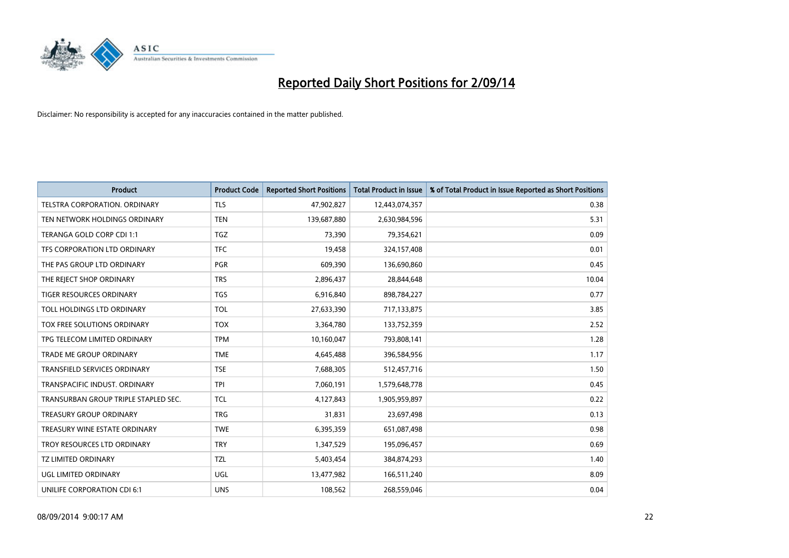

| <b>Product</b>                       | <b>Product Code</b> | <b>Reported Short Positions</b> | <b>Total Product in Issue</b> | % of Total Product in Issue Reported as Short Positions |
|--------------------------------------|---------------------|---------------------------------|-------------------------------|---------------------------------------------------------|
| <b>TELSTRA CORPORATION, ORDINARY</b> | <b>TLS</b>          | 47,902,827                      | 12,443,074,357                | 0.38                                                    |
| TEN NETWORK HOLDINGS ORDINARY        | <b>TEN</b>          | 139,687,880                     | 2,630,984,596                 | 5.31                                                    |
| TERANGA GOLD CORP CDI 1:1            | TGZ                 | 73,390                          | 79,354,621                    | 0.09                                                    |
| TFS CORPORATION LTD ORDINARY         | <b>TFC</b>          | 19,458                          | 324,157,408                   | 0.01                                                    |
| THE PAS GROUP LTD ORDINARY           | <b>PGR</b>          | 609,390                         | 136,690,860                   | 0.45                                                    |
| THE REJECT SHOP ORDINARY             | <b>TRS</b>          | 2,896,437                       | 28,844,648                    | 10.04                                                   |
| <b>TIGER RESOURCES ORDINARY</b>      | <b>TGS</b>          | 6,916,840                       | 898,784,227                   | 0.77                                                    |
| TOLL HOLDINGS LTD ORDINARY           | <b>TOL</b>          | 27,633,390                      | 717,133,875                   | 3.85                                                    |
| TOX FREE SOLUTIONS ORDINARY          | <b>TOX</b>          | 3,364,780                       | 133,752,359                   | 2.52                                                    |
| TPG TELECOM LIMITED ORDINARY         | <b>TPM</b>          | 10,160,047                      | 793,808,141                   | 1.28                                                    |
| <b>TRADE ME GROUP ORDINARY</b>       | <b>TME</b>          | 4,645,488                       | 396,584,956                   | 1.17                                                    |
| <b>TRANSFIELD SERVICES ORDINARY</b>  | <b>TSE</b>          | 7,688,305                       | 512,457,716                   | 1.50                                                    |
| TRANSPACIFIC INDUST, ORDINARY        | <b>TPI</b>          | 7,060,191                       | 1,579,648,778                 | 0.45                                                    |
| TRANSURBAN GROUP TRIPLE STAPLED SEC. | <b>TCL</b>          | 4,127,843                       | 1,905,959,897                 | 0.22                                                    |
| <b>TREASURY GROUP ORDINARY</b>       | <b>TRG</b>          | 31,831                          | 23,697,498                    | 0.13                                                    |
| TREASURY WINE ESTATE ORDINARY        | <b>TWE</b>          | 6,395,359                       | 651,087,498                   | 0.98                                                    |
| TROY RESOURCES LTD ORDINARY          | <b>TRY</b>          | 1,347,529                       | 195,096,457                   | 0.69                                                    |
| <b>TZ LIMITED ORDINARY</b>           | <b>TZL</b>          | 5,403,454                       | 384,874,293                   | 1.40                                                    |
| UGL LIMITED ORDINARY                 | UGL                 | 13,477,982                      | 166,511,240                   | 8.09                                                    |
| UNILIFE CORPORATION CDI 6:1          | <b>UNS</b>          | 108,562                         | 268,559,046                   | 0.04                                                    |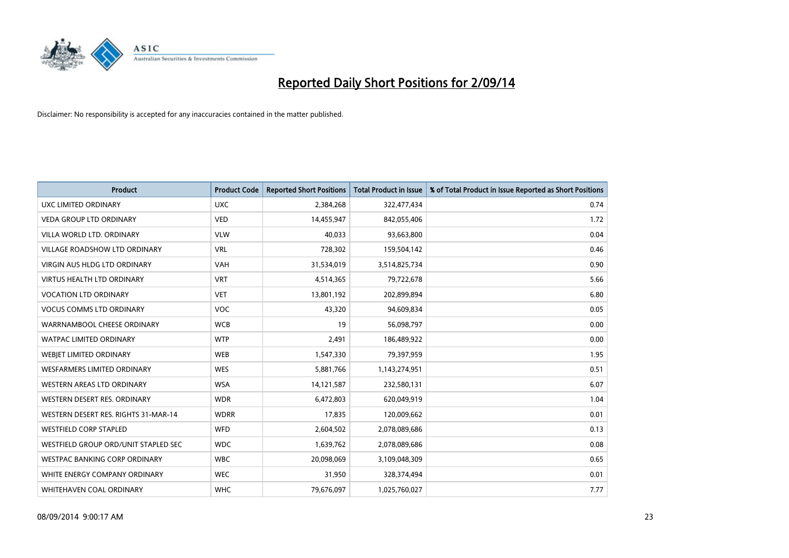

| <b>Product</b>                       | <b>Product Code</b> | <b>Reported Short Positions</b> | <b>Total Product in Issue</b> | % of Total Product in Issue Reported as Short Positions |
|--------------------------------------|---------------------|---------------------------------|-------------------------------|---------------------------------------------------------|
| <b>UXC LIMITED ORDINARY</b>          | <b>UXC</b>          | 2,384,268                       | 322,477,434                   | 0.74                                                    |
| <b>VEDA GROUP LTD ORDINARY</b>       | <b>VED</b>          | 14,455,947                      | 842,055,406                   | 1.72                                                    |
| VILLA WORLD LTD. ORDINARY            | <b>VLW</b>          | 40,033                          | 93,663,800                    | 0.04                                                    |
| <b>VILLAGE ROADSHOW LTD ORDINARY</b> | <b>VRL</b>          | 728,302                         | 159,504,142                   | 0.46                                                    |
| <b>VIRGIN AUS HLDG LTD ORDINARY</b>  | <b>VAH</b>          | 31,534,019                      | 3,514,825,734                 | 0.90                                                    |
| <b>VIRTUS HEALTH LTD ORDINARY</b>    | <b>VRT</b>          | 4,514,365                       | 79,722,678                    | 5.66                                                    |
| <b>VOCATION LTD ORDINARY</b>         | <b>VET</b>          | 13,801,192                      | 202,899,894                   | 6.80                                                    |
| <b>VOCUS COMMS LTD ORDINARY</b>      | <b>VOC</b>          | 43,320                          | 94,609,834                    | 0.05                                                    |
| WARRNAMBOOL CHEESE ORDINARY          | <b>WCB</b>          | 19                              | 56,098,797                    | 0.00                                                    |
| <b>WATPAC LIMITED ORDINARY</b>       | <b>WTP</b>          | 2,491                           | 186,489,922                   | 0.00                                                    |
| WEBJET LIMITED ORDINARY              | <b>WEB</b>          | 1,547,330                       | 79,397,959                    | 1.95                                                    |
| <b>WESFARMERS LIMITED ORDINARY</b>   | <b>WES</b>          | 5,881,766                       | 1,143,274,951                 | 0.51                                                    |
| WESTERN AREAS LTD ORDINARY           | <b>WSA</b>          | 14,121,587                      | 232,580,131                   | 6.07                                                    |
| WESTERN DESERT RES. ORDINARY         | <b>WDR</b>          | 6,472,803                       | 620,049,919                   | 1.04                                                    |
| WESTERN DESERT RES. RIGHTS 31-MAR-14 | <b>WDRR</b>         | 17,835                          | 120,009,662                   | 0.01                                                    |
| WESTFIELD CORP STAPLED               | WFD                 | 2,604,502                       | 2,078,089,686                 | 0.13                                                    |
| WESTFIELD GROUP ORD/UNIT STAPLED SEC | <b>WDC</b>          | 1,639,762                       | 2,078,089,686                 | 0.08                                                    |
| <b>WESTPAC BANKING CORP ORDINARY</b> | <b>WBC</b>          | 20,098,069                      | 3,109,048,309                 | 0.65                                                    |
| WHITE ENERGY COMPANY ORDINARY        | <b>WEC</b>          | 31,950                          | 328,374,494                   | 0.01                                                    |
| WHITEHAVEN COAL ORDINARY             | <b>WHC</b>          | 79,676,097                      | 1,025,760,027                 | 7.77                                                    |